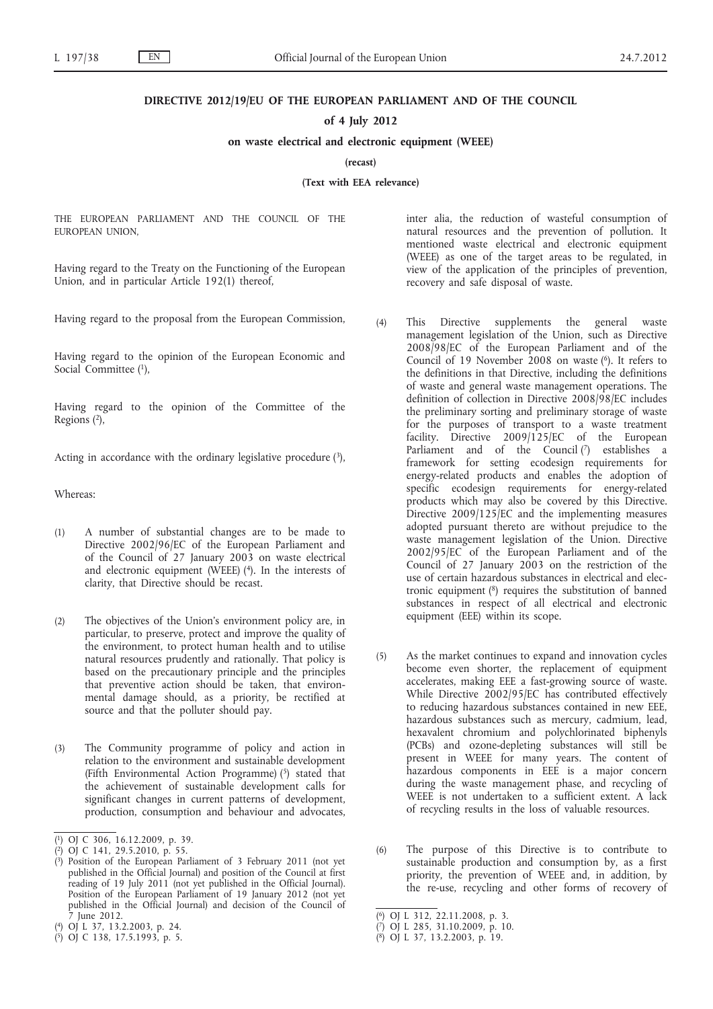## **DIRECTIVE 2012/19/EU OF THE EUROPEAN PARLIAMENT AND OF THE COUNCIL**

## **of 4 July 2012**

#### **on waste electrical and electronic equipment (WEEE)**

**(recast)**

**(Text with EEA relevance)**

THE EUROPEAN PARLIAMENT AND THE COUNCIL OF THE EUROPEAN UNION,

Having regard to the Treaty on the Functioning of the European Union, and in particular Article 192(1) thereof,

Having regard to the proposal from the European Commission,

Having regard to the opinion of the European Economic and Social Committee (1),

Having regard to the opinion of the Committee of the Regions (2),

Acting in accordance with the ordinary legislative procedure  $(3)$ ,

Whereas:

- (1) A number of substantial changes are to be made to Directive 2002/96/EC of the European Parliament and of the Council of 27 January 2003 on waste electrical and electronic equipment (WEEE) (4). In the interests of clarity, that Directive should be recast.
- (2) The objectives of the Union's environment policy are, in particular, to preserve, protect and improve the quality of the environment, to protect human health and to utilise natural resources prudently and rationally. That policy is based on the precautionary principle and the principles that preventive action should be taken, that environmental damage should, as a priority, be rectified at source and that the polluter should pay.
- (3) The Community programme of policy and action in relation to the environment and sustainable development (Fifth Environmental Action Programme) (5) stated that the achievement of sustainable development calls for significant changes in current patterns of development, production, consumption and behaviour and advocates,

inter alia, the reduction of wasteful consumption of natural resources and the prevention of pollution. It mentioned waste electrical and electronic equipment (WEEE) as one of the target areas to be regulated, in view of the application of the principles of prevention, recovery and safe disposal of waste.

- (4) This Directive supplements the general waste management legislation of the Union, such as Directive 2008/98/EC of the European Parliament and of the Council of 19 November 2008 on waste (6). It refers to the definitions in that Directive, including the definitions of waste and general waste management operations. The definition of collection in Directive 2008/98/EC includes the preliminary sorting and preliminary storage of waste for the purposes of transport to a waste treatment facility. Directive 2009/125/EC of the European Parliament and of the Council  $(7)$  establishes a framework for setting ecodesign requirements for energy-related products and enables the adoption of specific ecodesign requirements for energy-related products which may also be covered by this Directive. Directive 2009/125/EC and the implementing measures adopted pursuant thereto are without prejudice to the waste management legislation of the Union. Directive 2002/95/EC of the European Parliament and of the Council of 27 January 2003 on the restriction of the use of certain hazardous substances in electrical and electronic equipment (8) requires the substitution of banned substances in respect of all electrical and electronic equipment (EEE) within its scope.
- (5) As the market continues to expand and innovation cycles become even shorter, the replacement of equipment accelerates, making EEE a fast-growing source of waste. While Directive 2002/95/EC has contributed effectively to reducing hazardous substances contained in new EEE, hazardous substances such as mercury, cadmium, lead, hexavalent chromium and polychlorinated biphenyls (PCBs) and ozone-depleting substances will still be present in WEEE for many years. The content of hazardous components in EEE is a major concern during the waste management phase, and recycling of WEEE is not undertaken to a sufficient extent. A lack of recycling results in the loss of valuable resources.
- (6) The purpose of this Directive is to contribute to sustainable production and consumption by, as a first priority, the prevention of WEEE and, in addition, by the re-use, recycling and other forms of recovery of

<sup>(</sup> 1) OJ C 306, 16.12.2009, p. 39.

<sup>(</sup> 2) OJ C 141, 29.5.2010, p. 55.

<sup>(</sup> 3) Position of the European Parliament of 3 February 2011 (not yet published in the Official Journal) and position of the Council at first reading of 19 July 2011 (not yet published in the Official Journal). Position of the European Parliament of 19 January 2012 (not yet published in the Official Journal) and decision of the Council of 7 June 2012.

<sup>(</sup> 4) OJ L 37, 13.2.2003, p. 24.

<sup>(</sup> 5) OJ C 138, 17.5.1993, p. 5.

<sup>(</sup> 6) OJ L 312, 22.11.2008, p. 3.

<sup>(</sup> 7) OJ L 285, 31.10.2009, p. 10.

<sup>(</sup> 8) OJ L 37, 13.2.2003, p. 19.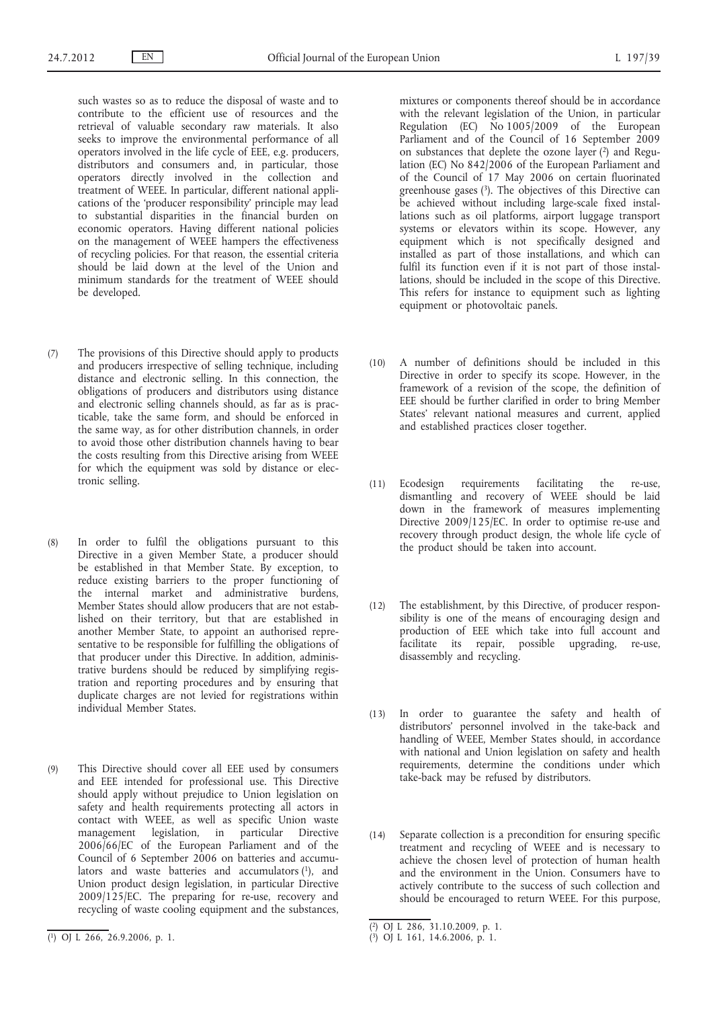such wastes so as to reduce the disposal of waste and to contribute to the efficient use of resources and the retrieval of valuable secondary raw materials. It also seeks to improve the environmental performance of all operators involved in the life cycle of EEE, e.g. producers, distributors and consumers and, in particular, those operators directly involved in the collection and treatment of WEEE. In particular, different national applications of the 'producer responsibility' principle may lead to substantial disparities in the financial burden on economic operators. Having different national policies on the management of WEEE hampers the effectiveness of recycling policies. For that reason, the essential criteria should be laid down at the level of the Union and minimum standards for the treatment of WEEE should be developed.

- (7) The provisions of this Directive should apply to products and producers irrespective of selling technique, including distance and electronic selling. In this connection, the obligations of producers and distributors using distance and electronic selling channels should, as far as is practicable, take the same form, and should be enforced in the same way, as for other distribution channels, in order to avoid those other distribution channels having to bear the costs resulting from this Directive arising from WEEE for which the equipment was sold by distance or electronic selling.
- (8) In order to fulfil the obligations pursuant to this Directive in a given Member State, a producer should be established in that Member State. By exception, to reduce existing barriers to the proper functioning of the internal market and administrative burdens, Member States should allow producers that are not established on their territory, but that are established in another Member State, to appoint an authorised representative to be responsible for fulfilling the obligations of that producer under this Directive. In addition, administrative burdens should be reduced by simplifying registration and reporting procedures and by ensuring that duplicate charges are not levied for registrations within individual Member States.
- (9) This Directive should cover all EEE used by consumers and EEE intended for professional use. This Directive should apply without prejudice to Union legislation on safety and health requirements protecting all actors in contact with WEEE, as well as specific Union waste management legislation, in particular Directive 2006/66/EC of the European Parliament and of the Council of 6 September 2006 on batteries and accumulators and waste batteries and accumulators (1), and Union product design legislation, in particular Directive 2009/125/EC. The preparing for re-use, recovery and recycling of waste cooling equipment and the substances,

mixtures or components thereof should be in accordance with the relevant legislation of the Union, in particular Regulation (EC) No 1005/2009 of the European Parliament and of the Council of 16 September 2009 on substances that deplete the ozone layer (2) and Regulation (EC) No 842/2006 of the European Parliament and of the Council of 17 May 2006 on certain fluorinated greenhouse gases (3). The objectives of this Directive can be achieved without including large-scale fixed installations such as oil platforms, airport luggage transport systems or elevators within its scope. However, any equipment which is not specifically designed and installed as part of those installations, and which can fulfil its function even if it is not part of those installations, should be included in the scope of this Directive. This refers for instance to equipment such as lighting equipment or photovoltaic panels.

- (10) A number of definitions should be included in this Directive in order to specify its scope. However, in the framework of a revision of the scope, the definition of EEE should be further clarified in order to bring Member States' relevant national measures and current, applied and established practices closer together.
- (11) Ecodesign requirements facilitating the re-use, dismantling and recovery of WEEE should be laid down in the framework of measures implementing Directive 2009/125/EC. In order to optimise re-use and recovery through product design, the whole life cycle of the product should be taken into account.
- (12) The establishment, by this Directive, of producer responsibility is one of the means of encouraging design and production of EEE which take into full account and facilitate its repair, possible upgrading, re-use, disassembly and recycling.
- (13) In order to guarantee the safety and health of distributors' personnel involved in the take-back and handling of WEEE, Member States should, in accordance with national and Union legislation on safety and health requirements, determine the conditions under which take-back may be refused by distributors.
- (14) Separate collection is a precondition for ensuring specific treatment and recycling of WEEE and is necessary to achieve the chosen level of protection of human health and the environment in the Union. Consumers have to actively contribute to the success of such collection and should be encouraged to return WEEE. For this purpose,

<sup>(</sup> 1) OJ L 266, 26.9.2006, p. 1.

<sup>(</sup> 2) OJ L 286, 31.10.2009, p. 1.

<sup>(</sup> 3) OJ L 161, 14.6.2006, p. 1.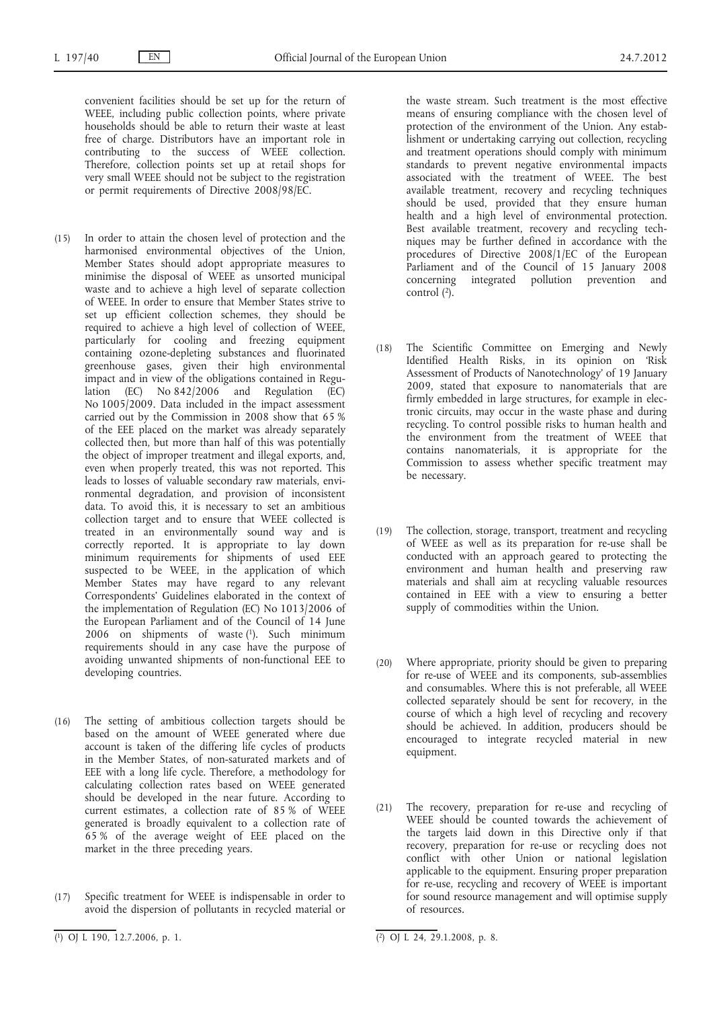convenient facilities should be set up for the return of WEEE, including public collection points, where private households should be able to return their waste at least free of charge. Distributors have an important role in contributing to the success of WEEE collection. Therefore, collection points set up at retail shops for very small WEEE should not be subject to the registration or permit requirements of Directive 2008/98/EC.

- (15) In order to attain the chosen level of protection and the harmonised environmental objectives of the Union, Member States should adopt appropriate measures to minimise the disposal of WEEE as unsorted municipal waste and to achieve a high level of separate collection of WEEE. In order to ensure that Member States strive to set up efficient collection schemes, they should be required to achieve a high level of collection of WEEE, particularly for cooling and freezing equipment containing ozone-depleting substances and fluorinated greenhouse gases, given their high environmental impact and in view of the obligations contained in Regulation (EC) No 842/2006 and Regulation (EC) No 1005/2009. Data included in the impact assessment carried out by the Commission in 2008 show that 65 % of the EEE placed on the market was already separately collected then, but more than half of this was potentially the object of improper treatment and illegal exports, and, even when properly treated, this was not reported. This leads to losses of valuable secondary raw materials, environmental degradation, and provision of inconsistent data. To avoid this, it is necessary to set an ambitious collection target and to ensure that WEEE collected is treated in an environmentally sound way and is correctly reported. It is appropriate to lay down minimum requirements for shipments of used EEE suspected to be WEEE, in the application of which Member States may have regard to any relevant Correspondents' Guidelines elaborated in the context of the implementation of Regulation (EC) No 1013/2006 of the European Parliament and of the Council of 14 June 2006 on shipments of waste  $(1)$ . Such minimum requirements should in any case have the purpose of avoiding unwanted shipments of non-functional EEE to developing countries.
- (16) The setting of ambitious collection targets should be based on the amount of WEEE generated where due account is taken of the differing life cycles of products in the Member States, of non-saturated markets and of EEE with a long life cycle. Therefore, a methodology for calculating collection rates based on WEEE generated should be developed in the near future. According to current estimates, a collection rate of 85 % of WEEE generated is broadly equivalent to a collection rate of 65 % of the average weight of EEE placed on the market in the three preceding years.
- (17) Specific treatment for WEEE is indispensable in order to avoid the dispersion of pollutants in recycled material or

the waste stream. Such treatment is the most effective means of ensuring compliance with the chosen level of protection of the environment of the Union. Any establishment or undertaking carrying out collection, recycling and treatment operations should comply with minimum standards to prevent negative environmental impacts associated with the treatment of WEEE. The best available treatment, recovery and recycling techniques should be used, provided that they ensure human health and a high level of environmental protection. Best available treatment, recovery and recycling techniques may be further defined in accordance with the procedures of Directive 2008/1/EC of the European Parliament and of the Council of 15 January 2008 concerning integrated pollution prevention and control (2).

- (18) The Scientific Committee on Emerging and Newly Identified Health Risks, in its opinion on 'Risk Assessment of Products of Nanotechnology' of 19 January 2009, stated that exposure to nanomaterials that are firmly embedded in large structures, for example in electronic circuits, may occur in the waste phase and during recycling. To control possible risks to human health and the environment from the treatment of WEEE that contains nanomaterials, it is appropriate for the Commission to assess whether specific treatment may be necessary.
- (19) The collection, storage, transport, treatment and recycling of WEEE as well as its preparation for re-use shall be conducted with an approach geared to protecting the environment and human health and preserving raw materials and shall aim at recycling valuable resources contained in EEE with a view to ensuring a better supply of commodities within the Union.
- (20) Where appropriate, priority should be given to preparing for re-use of WEEE and its components, sub-assemblies and consumables. Where this is not preferable, all WEEE collected separately should be sent for recovery, in the course of which a high level of recycling and recovery should be achieved. In addition, producers should be encouraged to integrate recycled material in new equipment.
- (21) The recovery, preparation for re-use and recycling of WEEE should be counted towards the achievement of the targets laid down in this Directive only if that recovery, preparation for re-use or recycling does not conflict with other Union or national legislation applicable to the equipment. Ensuring proper preparation for re-use, recycling and recovery of WEEE is important for sound resource management and will optimise supply of resources.

<sup>(</sup> 1) OJ L 190, 12.7.2006, p. 1. (2) OJ L 24, 29.1.2008, p. 8.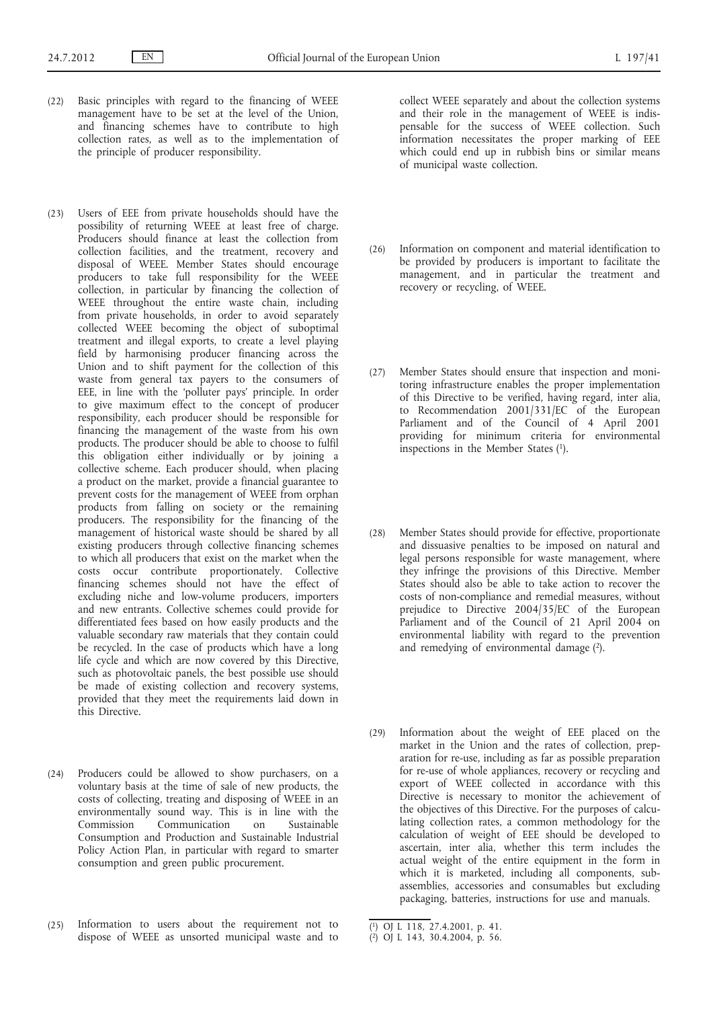- (22) Basic principles with regard to the financing of WEEE management have to be set at the level of the Union, and financing schemes have to contribute to high collection rates, as well as to the implementation of the principle of producer responsibility.
- (23) Users of EEE from private households should have the possibility of returning WEEE at least free of charge. Producers should finance at least the collection from collection facilities, and the treatment, recovery and disposal of WEEE. Member States should encourage producers to take full responsibility for the WEEE collection, in particular by financing the collection of WEEE throughout the entire waste chain, including from private households, in order to avoid separately collected WEEE becoming the object of suboptimal treatment and illegal exports, to create a level playing field by harmonising producer financing across the Union and to shift payment for the collection of this waste from general tax payers to the consumers of EEE, in line with the 'polluter pays' principle. In order to give maximum effect to the concept of producer responsibility, each producer should be responsible for financing the management of the waste from his own products. The producer should be able to choose to fulfil this obligation either individually or by joining a collective scheme. Each producer should, when placing a product on the market, provide a financial guarantee to prevent costs for the management of WEEE from orphan products from falling on society or the remaining producers. The responsibility for the financing of the management of historical waste should be shared by all existing producers through collective financing schemes to which all producers that exist on the market when the costs occur contribute proportionately. Collective financing schemes should not have the effect of excluding niche and low-volume producers, importers and new entrants. Collective schemes could provide for differentiated fees based on how easily products and the valuable secondary raw materials that they contain could be recycled. In the case of products which have a long life cycle and which are now covered by this Directive, such as photovoltaic panels, the best possible use should be made of existing collection and recovery systems, provided that they meet the requirements laid down in this Directive.
- (24) Producers could be allowed to show purchasers, on a voluntary basis at the time of sale of new products, the costs of collecting, treating and disposing of WEEE in an environmentally sound way. This is in line with the Commission Communication on Sustainable Consumption and Production and Sustainable Industrial Policy Action Plan, in particular with regard to smarter consumption and green public procurement.
- (25) Information to users about the requirement not to dispose of WEEE as unsorted municipal waste and to

collect WEEE separately and about the collection systems and their role in the management of WEEE is indispensable for the success of WEEE collection. Such information necessitates the proper marking of EEE which could end up in rubbish bins or similar means of municipal waste collection.

- (26) Information on component and material identification to be provided by producers is important to facilitate the management, and in particular the treatment and recovery or recycling, of WEEE.
- (27) Member States should ensure that inspection and monitoring infrastructure enables the proper implementation of this Directive to be verified, having regard, inter alia, to Recommendation 2001/331/EC of the European Parliament and of the Council of 4 April 2001 providing for minimum criteria for environmental inspections in the Member States  $(1)$ .
- (28) Member States should provide for effective, proportionate and dissuasive penalties to be imposed on natural and legal persons responsible for waste management, where they infringe the provisions of this Directive. Member States should also be able to take action to recover the costs of non-compliance and remedial measures, without prejudice to Directive 2004/35/EC of the European Parliament and of the Council of 21 April 2004 on environmental liability with regard to the prevention and remedying of environmental damage (2).
- (29) Information about the weight of EEE placed on the market in the Union and the rates of collection, preparation for re-use, including as far as possible preparation for re-use of whole appliances, recovery or recycling and export of WEEE collected in accordance with this Directive is necessary to monitor the achievement of the objectives of this Directive. For the purposes of calculating collection rates, a common methodology for the calculation of weight of EEE should be developed to ascertain, inter alia, whether this term includes the actual weight of the entire equipment in the form in which it is marketed, including all components, subassemblies, accessories and consumables but excluding packaging, batteries, instructions for use and manuals.

<sup>(</sup> 1) OJ L 118, 27.4.2001, p. 41.

<sup>(</sup> 2) OJ L 143, 30.4.2004, p. 56.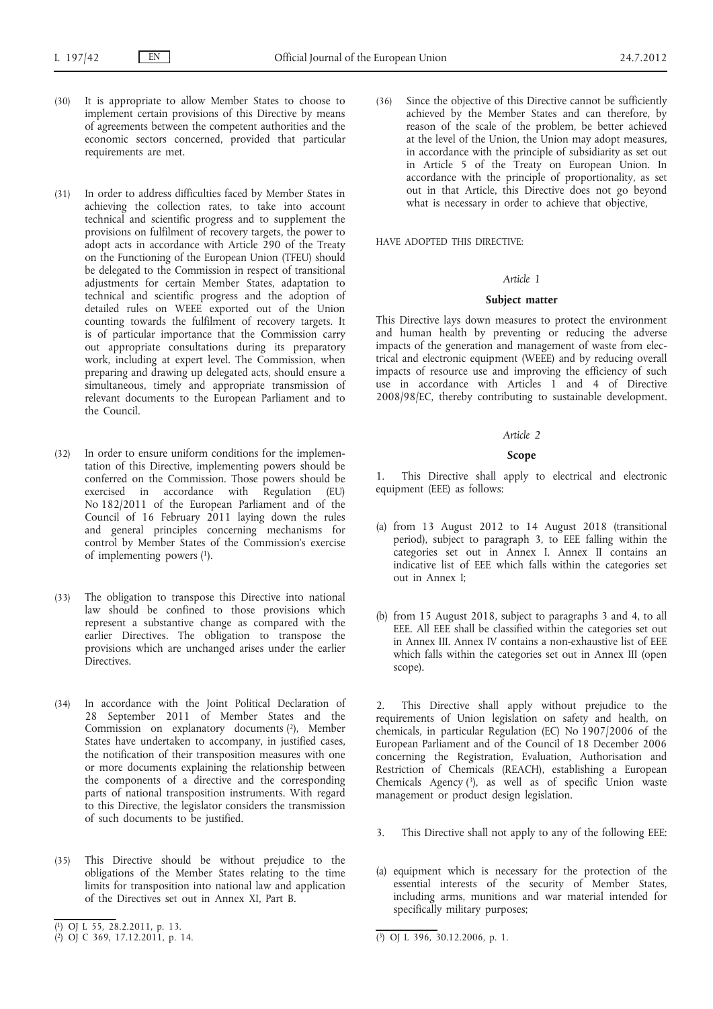- (30) It is appropriate to allow Member States to choose to implement certain provisions of this Directive by means of agreements between the competent authorities and the economic sectors concerned, provided that particular requirements are met.
- (31) In order to address difficulties faced by Member States in achieving the collection rates, to take into account technical and scientific progress and to supplement the provisions on fulfilment of recovery targets, the power to adopt acts in accordance with Article 290 of the Treaty on the Functioning of the European Union (TFEU) should be delegated to the Commission in respect of transitional adjustments for certain Member States, adaptation to technical and scientific progress and the adoption of detailed rules on WEEE exported out of the Union counting towards the fulfilment of recovery targets. It is of particular importance that the Commission carry out appropriate consultations during its preparatory work, including at expert level. The Commission, when preparing and drawing up delegated acts, should ensure a simultaneous, timely and appropriate transmission of relevant documents to the European Parliament and to the Council.
- (32) In order to ensure uniform conditions for the implementation of this Directive, implementing powers should be conferred on the Commission. Those powers should be exercised in accordance with Regulation (EU) No 182/2011 of the European Parliament and of the Council of 16 February 2011 laying down the rules and general principles concerning mechanisms for control by Member States of the Commission's exercise of implementing powers (1).
- (33) The obligation to transpose this Directive into national law should be confined to those provisions which represent a substantive change as compared with the earlier Directives. The obligation to transpose the provisions which are unchanged arises under the earlier Directives.
- (34) In accordance with the Joint Political Declaration of 28 September 2011 of Member States and the Commission on explanatory documents (2), Member States have undertaken to accompany, in justified cases, the notification of their transposition measures with one or more documents explaining the relationship between the components of a directive and the corresponding parts of national transposition instruments. With regard to this Directive, the legislator considers the transmission of such documents to be justified.
- (35) This Directive should be without prejudice to the obligations of the Member States relating to the time limits for transposition into national law and application of the Directives set out in Annex XI, Part B.

(36) Since the objective of this Directive cannot be sufficiently achieved by the Member States and can therefore, by reason of the scale of the problem, be better achieved at the level of the Union, the Union may adopt measures, in accordance with the principle of subsidiarity as set out in Article 5 of the Treaty on European Union. In accordance with the principle of proportionality, as set out in that Article, this Directive does not go beyond what is necessary in order to achieve that objective,

HAVE ADOPTED THIS DIRECTIVE:

#### *Article 1*

### **Subject matter**

This Directive lays down measures to protect the environment and human health by preventing or reducing the adverse impacts of the generation and management of waste from electrical and electronic equipment (WEEE) and by reducing overall impacts of resource use and improving the efficiency of such use in accordance with Articles 1 and 4 of Directive 2008/98/EC, thereby contributing to sustainable development.

#### *Article 2*

#### **Scope**

This Directive shall apply to electrical and electronic equipment (EEE) as follows:

- (a) from 13 August 2012 to 14 August 2018 (transitional period), subject to paragraph 3, to EEE falling within the categories set out in Annex I. Annex II contains an indicative list of EEE which falls within the categories set out in Annex I;
- (b) from 15 August 2018, subject to paragraphs 3 and 4, to all EEE. All EEE shall be classified within the categories set out in Annex III. Annex IV contains a non-exhaustive list of EEE which falls within the categories set out in Annex III (open scope).

2. This Directive shall apply without prejudice to the requirements of Union legislation on safety and health, on chemicals, in particular Regulation (EC) No 1907/2006 of the European Parliament and of the Council of 18 December 2006 concerning the Registration, Evaluation, Authorisation and Restriction of Chemicals (REACH), establishing a European Chemicals Agency  $(3)$ , as well as of specific Union waste management or product design legislation.

- 3. This Directive shall not apply to any of the following EEE:
- (a) equipment which is necessary for the protection of the essential interests of the security of Member States, including arms, munitions and war material intended for specifically military purposes;

<sup>(</sup> 1) OJ L 55, 28.2.2011, p. 13.

<sup>(</sup> 2) OJ C 369, 17.12.2011, p. 14. (3) OJ L 396, 30.12.2006, p. 1.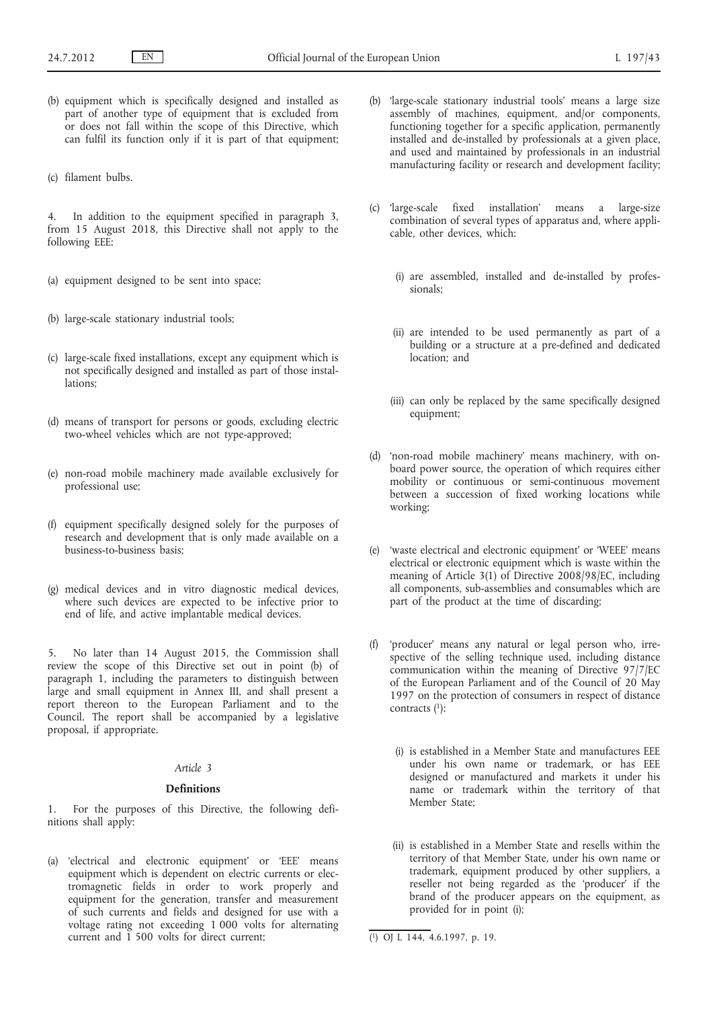- (b) equipment which is specifically designed and installed as part of another type of equipment that is excluded from or does not fall within the scope of this Directive, which can fulfil its function only if it is part of that equipment;
- (c) filament bulbs.

4. In addition to the equipment specified in paragraph 3, from 15 August 2018, this Directive shall not apply to the following EEE:

- (a) equipment designed to be sent into space;
- (b) large-scale stationary industrial tools;
- (c) large-scale fixed installations, except any equipment which is not specifically designed and installed as part of those installations;
- (d) means of transport for persons or goods, excluding electric two-wheel vehicles which are not type-approved;
- (e) non-road mobile machinery made available exclusively for professional use;
- (f) equipment specifically designed solely for the purposes of research and development that is only made available on a business-to-business basis;
- (g) medical devices and in vitro diagnostic medical devices, where such devices are expected to be infective prior to end of life, and active implantable medical devices.

5. No later than 14 August 2015, the Commission shall review the scope of this Directive set out in point (b) of paragraph 1, including the parameters to distinguish between large and small equipment in Annex III, and shall present a report thereon to the European Parliament and to the Council. The report shall be accompanied by a legislative proposal, if appropriate.

## *Article 3*

#### **Definitions**

1. For the purposes of this Directive, the following definitions shall apply:

(a) 'electrical and electronic equipment' or 'EEE' means equipment which is dependent on electric currents or electromagnetic fields in order to work properly and equipment for the generation, transfer and measurement of such currents and fields and designed for use with a voltage rating not exceeding 1 000 volts for alternating current and 1 500 volts for direct current;

- (b) 'large-scale stationary industrial tools' means a large size assembly of machines, equipment, and/or components, functioning together for a specific application, permanently installed and de-installed by professionals at a given place, and used and maintained by professionals in an industrial manufacturing facility or research and development facility;
- (c) 'large-scale fixed installation' means a large-size combination of several types of apparatus and, where applicable, other devices, which:
	- (i) are assembled, installed and de-installed by professionals;
	- (ii) are intended to be used permanently as part of a building or a structure at a pre-defined and dedicated location; and
	- (iii) can only be replaced by the same specifically designed equipment;
- (d) 'non-road mobile machinery' means machinery, with onboard power source, the operation of which requires either mobility or continuous or semi-continuous movement between a succession of fixed working locations while working;
- (e) 'waste electrical and electronic equipment' or 'WEEE' means electrical or electronic equipment which is waste within the meaning of Article 3(1) of Directive 2008/98/EC, including all components, sub-assemblies and consumables which are part of the product at the time of discarding;
- (f) 'producer' means any natural or legal person who, irrespective of the selling technique used, including distance communication within the meaning of Directive 97/7/EC of the European Parliament and of the Council of 20 May 1997 on the protection of consumers in respect of distance contracts  $(1)$ :
	- (i) is established in a Member State and manufactures EEE under his own name or trademark, or has EEE designed or manufactured and markets it under his name or trademark within the territory of that Member State;
	- (ii) is established in a Member State and resells within the territory of that Member State, under his own name or trademark, equipment produced by other suppliers, a reseller not being regarded as the 'producer' if the brand of the producer appears on the equipment, as provided for in point (i);

<sup>(</sup> 1) OJ L 144, 4.6.1997, p. 19.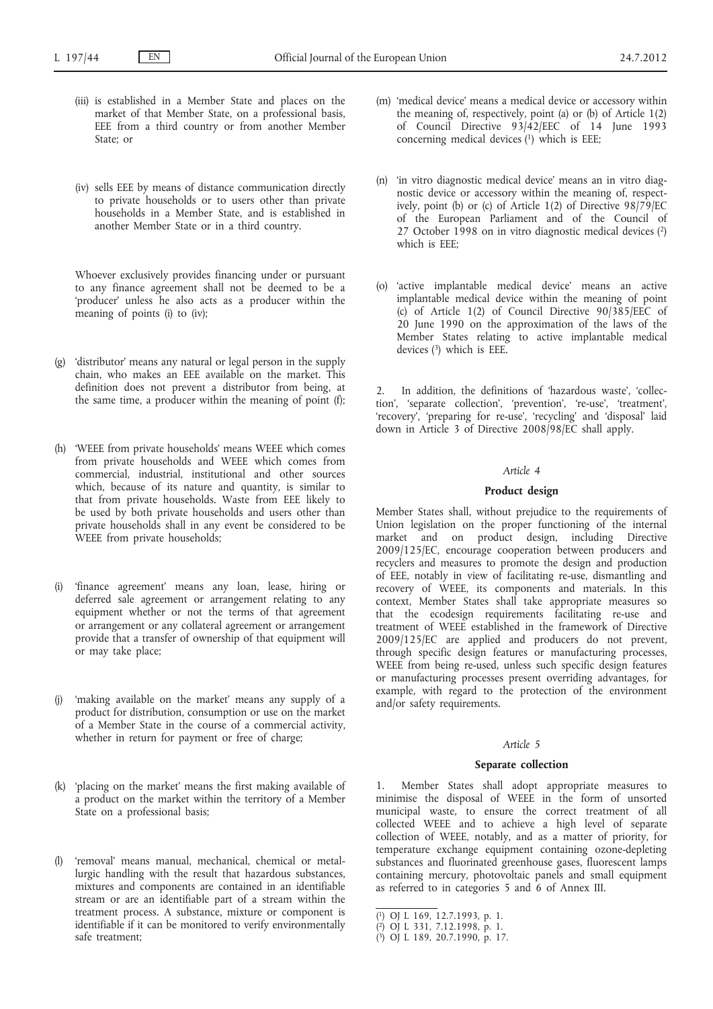- (iii) is established in a Member State and places on the market of that Member State, on a professional basis, EEE from a third country or from another Member State; or
- (iv) sells EEE by means of distance communication directly to private households or to users other than private households in a Member State, and is established in another Member State or in a third country.

Whoever exclusively provides financing under or pursuant to any finance agreement shall not be deemed to be a 'producer' unless he also acts as a producer within the meaning of points (i) to (iv);

- (g) 'distributor' means any natural or legal person in the supply chain, who makes an EEE available on the market. This definition does not prevent a distributor from being, at the same time, a producer within the meaning of point (f);
- (h) 'WEEE from private households' means WEEE which comes from private households and WEEE which comes from commercial, industrial, institutional and other sources which, because of its nature and quantity, is similar to that from private households. Waste from EEE likely to be used by both private households and users other than private households shall in any event be considered to be WEEE from private households;
- (i) 'finance agreement' means any loan, lease, hiring or deferred sale agreement or arrangement relating to any equipment whether or not the terms of that agreement or arrangement or any collateral agreement or arrangement provide that a transfer of ownership of that equipment will or may take place;
- (j) 'making available on the market' means any supply of a product for distribution, consumption or use on the market of a Member State in the course of a commercial activity, whether in return for payment or free of charge;
- (k) 'placing on the market' means the first making available of a product on the market within the territory of a Member State on a professional basis;
- 'removal' means manual, mechanical, chemical or metallurgic handling with the result that hazardous substances, mixtures and components are contained in an identifiable stream or are an identifiable part of a stream within the treatment process. A substance, mixture or component is identifiable if it can be monitored to verify environmentally safe treatment;
- (m) 'medical device' means a medical device or accessory within the meaning of, respectively, point (a) or (b) of Article 1(2) of Council Directive 93/42/EEC of 14 June 1993 concerning medical devices (1) which is EEE;
- (n) 'in vitro diagnostic medical device' means an in vitro diagnostic device or accessory within the meaning of, respectively, point (b) or (c) of Article 1(2) of Directive 98/79/EC of the European Parliament and of the Council of 27 October 1998 on in vitro diagnostic medical devices (2) which is EEE;
- (o) 'active implantable medical device' means an active implantable medical device within the meaning of point (c) of Article 1(2) of Council Directive  $90/385/EE\overline{C}$  of 20 June 1990 on the approximation of the laws of the Member States relating to active implantable medical devices (3) which is EEE.

2. In addition, the definitions of 'hazardous waste', 'collection', 'separate collection', 'prevention', 're-use', 'treatment', 'recovery', 'preparing for re-use', 'recycling' and 'disposal' laid down in Article 3 of Directive 2008/98/EC shall apply.

#### *Article 4*

### **Product design**

Member States shall, without prejudice to the requirements of Union legislation on the proper functioning of the internal market and on product design, including Directive 2009/125/EC, encourage cooperation between producers and recyclers and measures to promote the design and production of EEE, notably in view of facilitating re-use, dismantling and recovery of WEEE, its components and materials. In this context, Member States shall take appropriate measures so that the ecodesign requirements facilitating re-use and treatment of WEEE established in the framework of Directive 2009/125/EC are applied and producers do not prevent, through specific design features or manufacturing processes, WEEE from being re-used, unless such specific design features or manufacturing processes present overriding advantages, for example, with regard to the protection of the environment and/or safety requirements.

## *Article 5*

#### **Separate collection**

1. Member States shall adopt appropriate measures to minimise the disposal of WEEE in the form of unsorted municipal waste, to ensure the correct treatment of all collected WEEE and to achieve a high level of separate collection of WEEE, notably, and as a matter of priority, for temperature exchange equipment containing ozone-depleting substances and fluorinated greenhouse gases, fluorescent lamps containing mercury, photovoltaic panels and small equipment as referred to in categories 5 and 6 of Annex III.

<sup>(</sup> 1) OJ L 169, 12.7.1993, p. 1.

<sup>(</sup> 2) OJ L 331, 7.12.1998, p. 1.

<sup>(</sup> 3) OJ L 189, 20.7.1990, p. 17.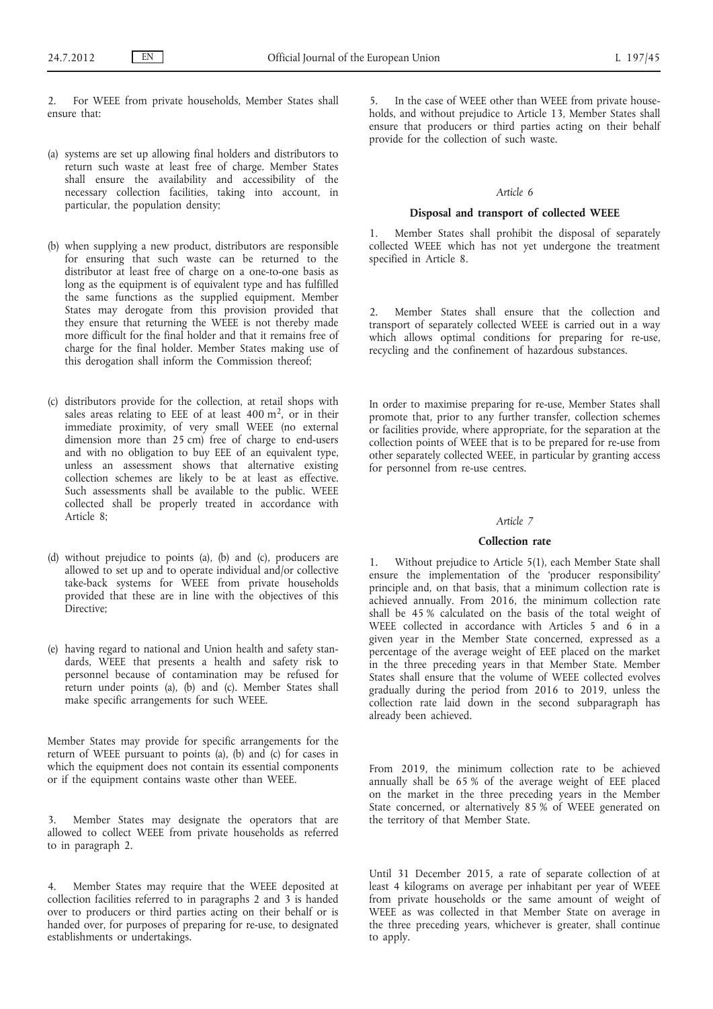2. For WEEE from private households, Member States shall ensure that:

- (a) systems are set up allowing final holders and distributors to return such waste at least free of charge. Member States shall ensure the availability and accessibility of the necessary collection facilities, taking into account, in particular, the population density;
- (b) when supplying a new product, distributors are responsible for ensuring that such waste can be returned to the distributor at least free of charge on a one-to-one basis as long as the equipment is of equivalent type and has fulfilled the same functions as the supplied equipment. Member States may derogate from this provision provided that they ensure that returning the WEEE is not thereby made more difficult for the final holder and that it remains free of charge for the final holder. Member States making use of this derogation shall inform the Commission thereof;
- (c) distributors provide for the collection, at retail shops with sales areas relating to EEE of at least  $400 \text{ m}^2$ , or in their immediate proximity, of very small WEEE (no external dimension more than 25 cm) free of charge to end-users and with no obligation to buy EEE of an equivalent type, unless an assessment shows that alternative existing collection schemes are likely to be at least as effective. Such assessments shall be available to the public. WEEE collected shall be properly treated in accordance with Article 8;
- (d) without prejudice to points (a), (b) and (c), producers are allowed to set up and to operate individual and/or collective take-back systems for WEEE from private households provided that these are in line with the objectives of this Directive;
- (e) having regard to national and Union health and safety standards, WEEE that presents a health and safety risk to personnel because of contamination may be refused for return under points (a), (b) and (c). Member States shall make specific arrangements for such WEEE.

Member States may provide for specific arrangements for the return of WEEE pursuant to points (a), (b) and (c) for cases in which the equipment does not contain its essential components or if the equipment contains waste other than WEEE.

3. Member States may designate the operators that are allowed to collect WEEE from private households as referred to in paragraph 2.

4. Member States may require that the WEEE deposited at collection facilities referred to in paragraphs 2 and 3 is handed over to producers or third parties acting on their behalf or is handed over, for purposes of preparing for re-use, to designated establishments or undertakings.

In the case of WEEE other than WEEE from private households, and without prejudice to Article 13, Member States shall ensure that producers or third parties acting on their behalf provide for the collection of such waste.

## *Article 6*

#### **Disposal and transport of collected WEEE**

1. Member States shall prohibit the disposal of separately collected WEEE which has not yet undergone the treatment specified in Article 8.

Member States shall ensure that the collection and transport of separately collected WEEE is carried out in a way which allows optimal conditions for preparing for re-use, recycling and the confinement of hazardous substances.

In order to maximise preparing for re-use, Member States shall promote that, prior to any further transfer, collection schemes or facilities provide, where appropriate, for the separation at the collection points of WEEE that is to be prepared for re-use from other separately collected WEEE, in particular by granting access for personnel from re-use centres.

## *Article 7*

#### **Collection rate**

1. Without prejudice to Article 5(1), each Member State shall ensure the implementation of the 'producer responsibility' principle and, on that basis, that a minimum collection rate is achieved annually. From 2016, the minimum collection rate shall be 45 % calculated on the basis of the total weight of WEEE collected in accordance with Articles 5 and 6 in a given year in the Member State concerned, expressed as a percentage of the average weight of EEE placed on the market in the three preceding years in that Member State. Member States shall ensure that the volume of WEEE collected evolves gradually during the period from 2016 to 2019, unless the collection rate laid down in the second subparagraph has already been achieved.

From 2019, the minimum collection rate to be achieved annually shall be 65 % of the average weight of EEE placed on the market in the three preceding years in the Member State concerned, or alternatively 85 % of WEEE generated on the territory of that Member State.

Until 31 December 2015, a rate of separate collection of at least 4 kilograms on average per inhabitant per year of WEEE from private households or the same amount of weight of WEEE as was collected in that Member State on average in the three preceding years, whichever is greater, shall continue to apply.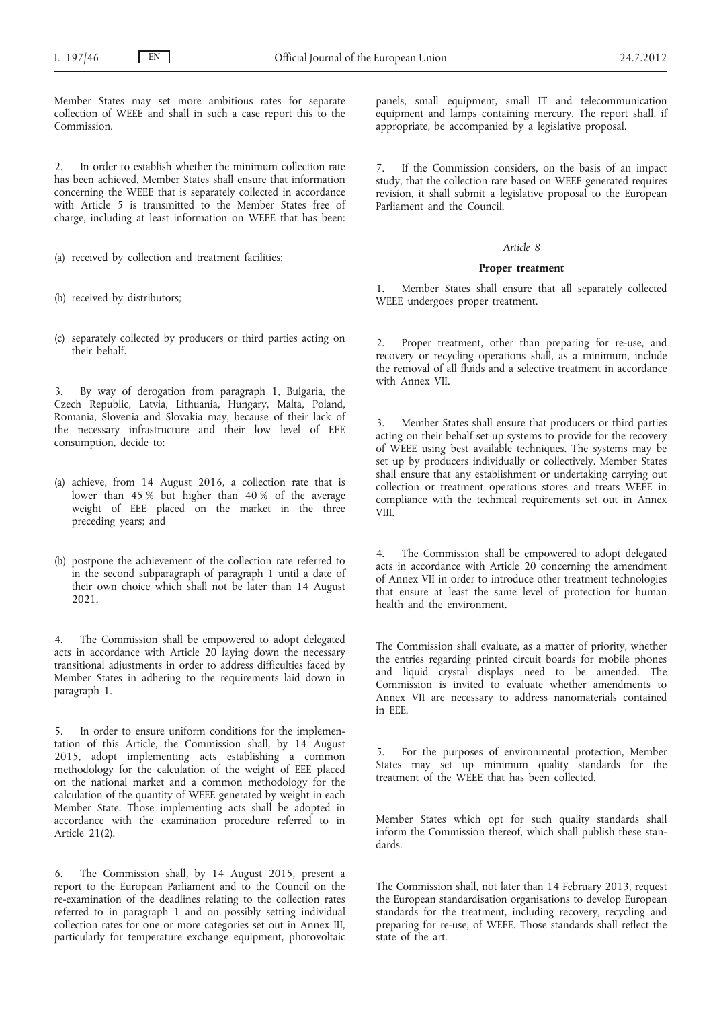Member States may set more ambitious rates for separate collection of WEEE and shall in such a case report this to the Commission.

2. In order to establish whether the minimum collection rate has been achieved, Member States shall ensure that information concerning the WEEE that is separately collected in accordance with Article 5 is transmitted to the Member States free of charge, including at least information on WEEE that has been:

- (a) received by collection and treatment facilities;
- (b) received by distributors;
- (c) separately collected by producers or third parties acting on their behalf.

3. By way of derogation from paragraph 1, Bulgaria, the Czech Republic, Latvia, Lithuania, Hungary, Malta, Poland, Romania, Slovenia and Slovakia may, because of their lack of the necessary infrastructure and their low level of EEE consumption, decide to:

- (a) achieve, from 14 August 2016, a collection rate that is lower than 45 % but higher than 40 % of the average weight of EEE placed on the market in the three preceding years; and
- (b) postpone the achievement of the collection rate referred to in the second subparagraph of paragraph 1 until a date of their own choice which shall not be later than 14 August 2021.

4. The Commission shall be empowered to adopt delegated acts in accordance with Article 20 laying down the necessary transitional adjustments in order to address difficulties faced by Member States in adhering to the requirements laid down in paragraph 1.

5. In order to ensure uniform conditions for the implementation of this Article, the Commission shall, by 14 August 2015, adopt implementing acts establishing a common methodology for the calculation of the weight of EEE placed on the national market and a common methodology for the calculation of the quantity of WEEE generated by weight in each Member State. Those implementing acts shall be adopted in accordance with the examination procedure referred to in Article 21(2).

6. The Commission shall, by 14 August 2015, present a report to the European Parliament and to the Council on the re-examination of the deadlines relating to the collection rates referred to in paragraph 1 and on possibly setting individual collection rates for one or more categories set out in Annex III, particularly for temperature exchange equipment, photovoltaic panels, small equipment, small IT and telecommunication equipment and lamps containing mercury. The report shall, if appropriate, be accompanied by a legislative proposal.

If the Commission considers, on the basis of an impact study, that the collection rate based on WEEE generated requires revision, it shall submit a legislative proposal to the European Parliament and the Council.

## *Article 8*

#### **Proper treatment**

Member States shall ensure that all separately collected WEEE undergoes proper treatment.

2. Proper treatment, other than preparing for re-use, and recovery or recycling operations shall, as a minimum, include the removal of all fluids and a selective treatment in accordance with Annex VII.

Member States shall ensure that producers or third parties acting on their behalf set up systems to provide for the recovery of WEEE using best available techniques. The systems may be set up by producers individually or collectively. Member States shall ensure that any establishment or undertaking carrying out collection or treatment operations stores and treats WEEE in compliance with the technical requirements set out in Annex VIII.

The Commission shall be empowered to adopt delegated acts in accordance with Article 20 concerning the amendment of Annex VII in order to introduce other treatment technologies that ensure at least the same level of protection for human health and the environment.

The Commission shall evaluate, as a matter of priority, whether the entries regarding printed circuit boards for mobile phones and liquid crystal displays need to be amended. The Commission is invited to evaluate whether amendments to Annex VII are necessary to address nanomaterials contained in EEE.

5. For the purposes of environmental protection, Member States may set up minimum quality standards for the treatment of the WEEE that has been collected.

Member States which opt for such quality standards shall inform the Commission thereof, which shall publish these standards.

The Commission shall, not later than 14 February 2013, request the European standardisation organisations to develop European standards for the treatment, including recovery, recycling and preparing for re-use, of WEEE. Those standards shall reflect the state of the art.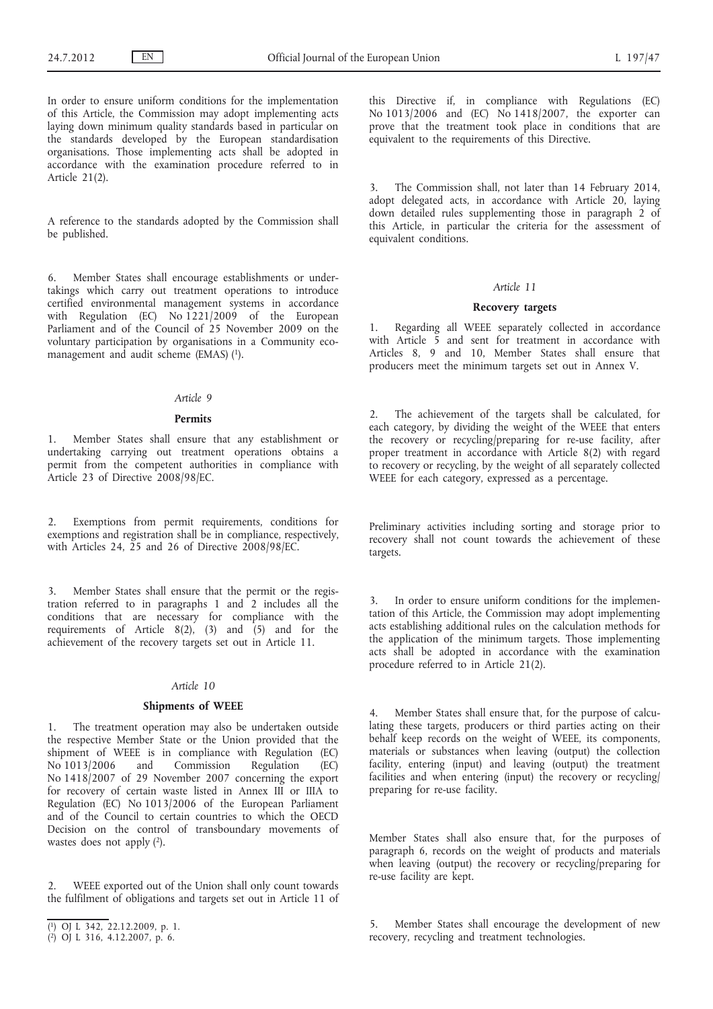In order to ensure uniform conditions for the implementation of this Article, the Commission may adopt implementing acts laying down minimum quality standards based in particular on the standards developed by the European standardisation organisations. Those implementing acts shall be adopted in accordance with the examination procedure referred to in Article 21(2).

A reference to the standards adopted by the Commission shall be published.

6. Member States shall encourage establishments or undertakings which carry out treatment operations to introduce certified environmental management systems in accordance with Regulation (EC) No 1221/2009 of the European Parliament and of the Council of 25 November 2009 on the voluntary participation by organisations in a Community ecomanagement and audit scheme (EMAS) (1).

## *Article 9*

### **Permits**

1. Member States shall ensure that any establishment or undertaking carrying out treatment operations obtains a permit from the competent authorities in compliance with Article 23 of Directive 2008/98/EC.

2. Exemptions from permit requirements, conditions for exemptions and registration shall be in compliance, respectively, with Articles 24, 25 and 26 of Directive 2008/98/EC.

3. Member States shall ensure that the permit or the registration referred to in paragraphs 1 and 2 includes all the conditions that are necessary for compliance with the requirements of Article  $8(2)$ ,  $(3)$  and  $(5)$  and for the achievement of the recovery targets set out in Article 11.

#### *Article 10*

#### **Shipments of WEEE**

1. The treatment operation may also be undertaken outside the respective Member State or the Union provided that the shipment of WEEE is in compliance with Regulation (EC) No 1013/2006 and Commission Regulation (EC) No 1418/2007 of 29 November 2007 concerning the export for recovery of certain waste listed in Annex III or IIIA to Regulation (EC) No 1013/2006 of the European Parliament and of the Council to certain countries to which the OECD Decision on the control of transboundary movements of wastes does not apply (2).

WEEE exported out of the Union shall only count towards the fulfilment of obligations and targets set out in Article 11 of this Directive if, in compliance with Regulations (EC) No 1013/2006 and (EC) No 1418/2007, the exporter can prove that the treatment took place in conditions that are equivalent to the requirements of this Directive.

3. The Commission shall, not later than 14 February 2014, adopt delegated acts, in accordance with Article 20, laying down detailed rules supplementing those in paragraph 2 of this Article, in particular the criteria for the assessment of equivalent conditions.

## *Article 11*

## **Recovery targets**

1. Regarding all WEEE separately collected in accordance with Article 5 and sent for treatment in accordance with Articles 8, 9 and 10, Member States shall ensure that producers meet the minimum targets set out in Annex V.

2. The achievement of the targets shall be calculated, for each category, by dividing the weight of the WEEE that enters the recovery or recycling/preparing for re-use facility, after proper treatment in accordance with Article 8(2) with regard to recovery or recycling, by the weight of all separately collected WEEE for each category, expressed as a percentage.

Preliminary activities including sorting and storage prior to recovery shall not count towards the achievement of these targets.

3. In order to ensure uniform conditions for the implementation of this Article, the Commission may adopt implementing acts establishing additional rules on the calculation methods for the application of the minimum targets. Those implementing acts shall be adopted in accordance with the examination procedure referred to in Article 21(2).

4. Member States shall ensure that, for the purpose of calculating these targets, producers or third parties acting on their behalf keep records on the weight of WEEE, its components, materials or substances when leaving (output) the collection facility, entering (input) and leaving (output) the treatment facilities and when entering (input) the recovery or recycling/ preparing for re-use facility.

Member States shall also ensure that, for the purposes of paragraph 6, records on the weight of products and materials when leaving (output) the recovery or recycling/preparing for re-use facility are kept.

5. Member States shall encourage the development of new recovery, recycling and treatment technologies.

<sup>(</sup> 1) OJ L 342, 22.12.2009, p. 1.

<sup>(</sup> 2) OJ L 316, 4.12.2007, p. 6.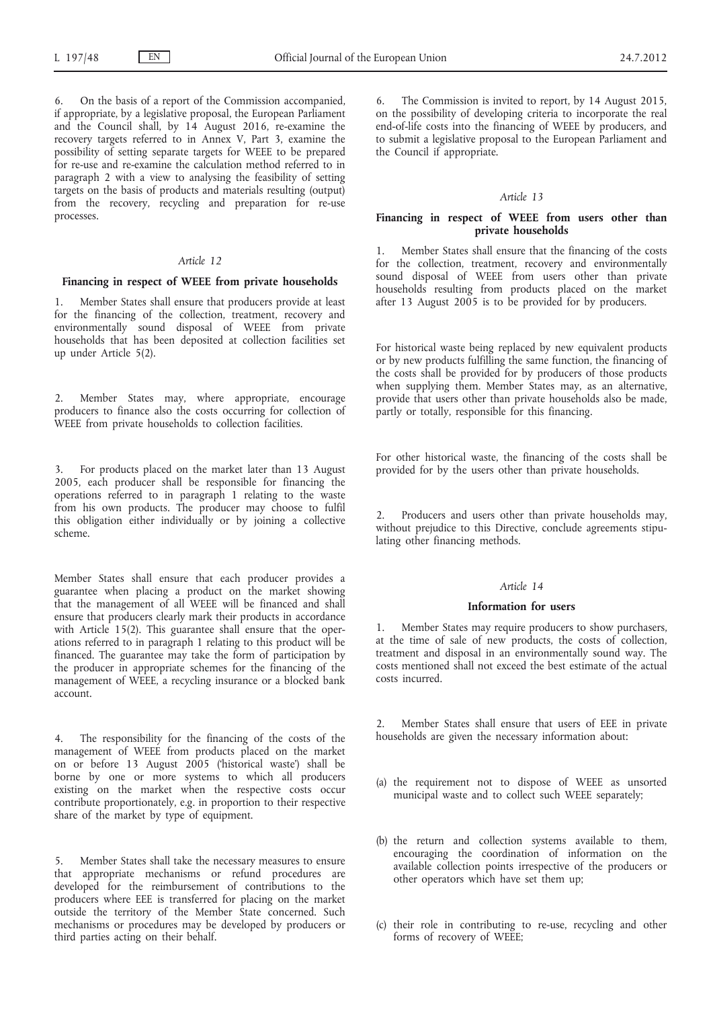6. On the basis of a report of the Commission accompanied, if appropriate, by a legislative proposal, the European Parliament and the Council shall, by 14 August 2016, re-examine the recovery targets referred to in Annex V, Part 3, examine the possibility of setting separate targets for WEEE to be prepared for re-use and re-examine the calculation method referred to in paragraph 2 with a view to analysing the feasibility of setting targets on the basis of products and materials resulting (output) from the recovery, recycling and preparation for re-use processes.

## *Article 12*

## **Financing in respect of WEEE from private households**

Member States shall ensure that producers provide at least for the financing of the collection, treatment, recovery and environmentally sound disposal of WEEE from private households that has been deposited at collection facilities set up under Article 5(2).

2. Member States may, where appropriate, encourage producers to finance also the costs occurring for collection of WEEE from private households to collection facilities.

3. For products placed on the market later than 13 August 2005, each producer shall be responsible for financing the operations referred to in paragraph 1 relating to the waste from his own products. The producer may choose to fulfil this obligation either individually or by joining a collective scheme.

Member States shall ensure that each producer provides a guarantee when placing a product on the market showing that the management of all WEEE will be financed and shall ensure that producers clearly mark their products in accordance with Article 15(2). This guarantee shall ensure that the operations referred to in paragraph 1 relating to this product will be financed. The guarantee may take the form of participation by the producer in appropriate schemes for the financing of the management of WEEE, a recycling insurance or a blocked bank account.

4. The responsibility for the financing of the costs of the management of WEEE from products placed on the market on or before 13 August 2005 ('historical waste') shall be borne by one or more systems to which all producers existing on the market when the respective costs occur contribute proportionately, e.g. in proportion to their respective share of the market by type of equipment.

5. Member States shall take the necessary measures to ensure that appropriate mechanisms or refund procedures are developed for the reimbursement of contributions to the producers where EEE is transferred for placing on the market outside the territory of the Member State concerned. Such mechanisms or procedures may be developed by producers or third parties acting on their behalf.

The Commission is invited to report, by 14 August 2015, on the possibility of developing criteria to incorporate the real end-of-life costs into the financing of WEEE by producers, and to submit a legislative proposal to the European Parliament and the Council if appropriate.

#### *Article 13*

## **Financing in respect of WEEE from users other than private households**

1. Member States shall ensure that the financing of the costs for the collection, treatment, recovery and environmentally sound disposal of WEEE from users other than private households resulting from products placed on the market after 13 August 2005 is to be provided for by producers.

For historical waste being replaced by new equivalent products or by new products fulfilling the same function, the financing of the costs shall be provided for by producers of those products when supplying them. Member States may, as an alternative, provide that users other than private households also be made, partly or totally, responsible for this financing.

For other historical waste, the financing of the costs shall be provided for by the users other than private households.

Producers and users other than private households may, without prejudice to this Directive, conclude agreements stipulating other financing methods.

## *Article 14*

### **Information for users**

1. Member States may require producers to show purchasers, at the time of sale of new products, the costs of collection, treatment and disposal in an environmentally sound way. The costs mentioned shall not exceed the best estimate of the actual costs incurred.

2. Member States shall ensure that users of EEE in private households are given the necessary information about:

- (a) the requirement not to dispose of WEEE as unsorted municipal waste and to collect such WEEE separately;
- (b) the return and collection systems available to them, encouraging the coordination of information on the available collection points irrespective of the producers or other operators which have set them up;
- (c) their role in contributing to re-use, recycling and other forms of recovery of WEEE;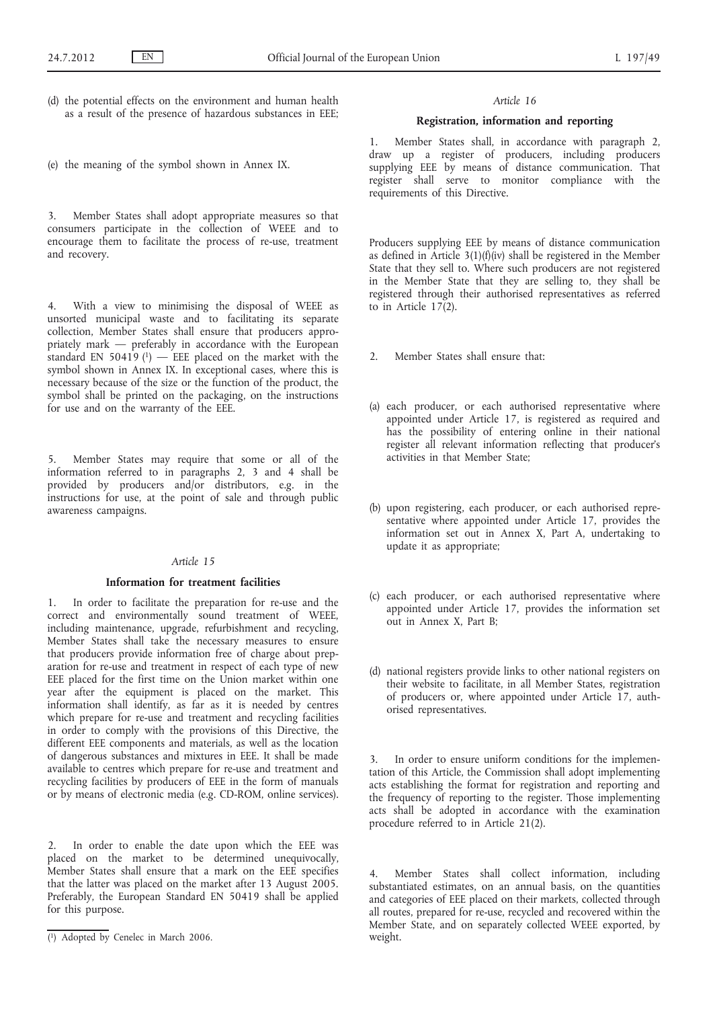- (d) the potential effects on the environment and human health as a result of the presence of hazardous substances in EEE;
- (e) the meaning of the symbol shown in Annex IX.

3. Member States shall adopt appropriate measures so that consumers participate in the collection of WEEE and to encourage them to facilitate the process of re-use, treatment and recovery.

4. With a view to minimising the disposal of WEEE as unsorted municipal waste and to facilitating its separate collection, Member States shall ensure that producers appropriately mark — preferably in accordance with the European standard EN 50419 $(1)$  — EEE placed on the market with the symbol shown in Annex IX. In exceptional cases, where this is necessary because of the size or the function of the product, the symbol shall be printed on the packaging, on the instructions for use and on the warranty of the EEE.

5. Member States may require that some or all of the information referred to in paragraphs 2, 3 and 4 shall be provided by producers and/or distributors, e.g. in the instructions for use, at the point of sale and through public awareness campaigns.

#### *Article 15*

## **Information for treatment facilities**

1. In order to facilitate the preparation for re-use and the correct and environmentally sound treatment of WEEE, including maintenance, upgrade, refurbishment and recycling, Member States shall take the necessary measures to ensure that producers provide information free of charge about preparation for re-use and treatment in respect of each type of new EEE placed for the first time on the Union market within one year after the equipment is placed on the market. This information shall identify, as far as it is needed by centres which prepare for re-use and treatment and recycling facilities in order to comply with the provisions of this Directive, the different EEE components and materials, as well as the location of dangerous substances and mixtures in EEE. It shall be made available to centres which prepare for re-use and treatment and recycling facilities by producers of EEE in the form of manuals or by means of electronic media (e.g. CD-ROM, online services).

2. In order to enable the date upon which the EEE was placed on the market to be determined unequivocally, Member States shall ensure that a mark on the EEE specifies that the latter was placed on the market after 13 August 2005. Preferably, the European Standard EN 50419 shall be applied for this purpose.

#### *Article 16*

## **Registration, information and reporting**

1. Member States shall, in accordance with paragraph 2, draw up a register of producers, including producers supplying EEE by means of distance communication. That register shall serve to monitor compliance with the requirements of this Directive.

Producers supplying EEE by means of distance communication as defined in Article  $3(1)(f)(iv)$  shall be registered in the Member State that they sell to. Where such producers are not registered in the Member State that they are selling to, they shall be registered through their authorised representatives as referred to in Article 17(2).

- 2. Member States shall ensure that:
- (a) each producer, or each authorised representative where appointed under Article 17, is registered as required and has the possibility of entering online in their national register all relevant information reflecting that producer's activities in that Member State;
- (b) upon registering, each producer, or each authorised representative where appointed under Article 17, provides the information set out in Annex X, Part A, undertaking to update it as appropriate;
- (c) each producer, or each authorised representative where appointed under Article 17, provides the information set out in Annex X, Part B;
- (d) national registers provide links to other national registers on their website to facilitate, in all Member States, registration of producers or, where appointed under Article 17, authorised representatives.

3. In order to ensure uniform conditions for the implementation of this Article, the Commission shall adopt implementing acts establishing the format for registration and reporting and the frequency of reporting to the register. Those implementing acts shall be adopted in accordance with the examination procedure referred to in Article 21(2).

Member States shall collect information, including substantiated estimates, on an annual basis, on the quantities and categories of EEE placed on their markets, collected through all routes, prepared for re-use, recycled and recovered within the Member State, and on separately collected WEEE exported, by weight.

<sup>(</sup> 1) Adopted by Cenelec in March 2006.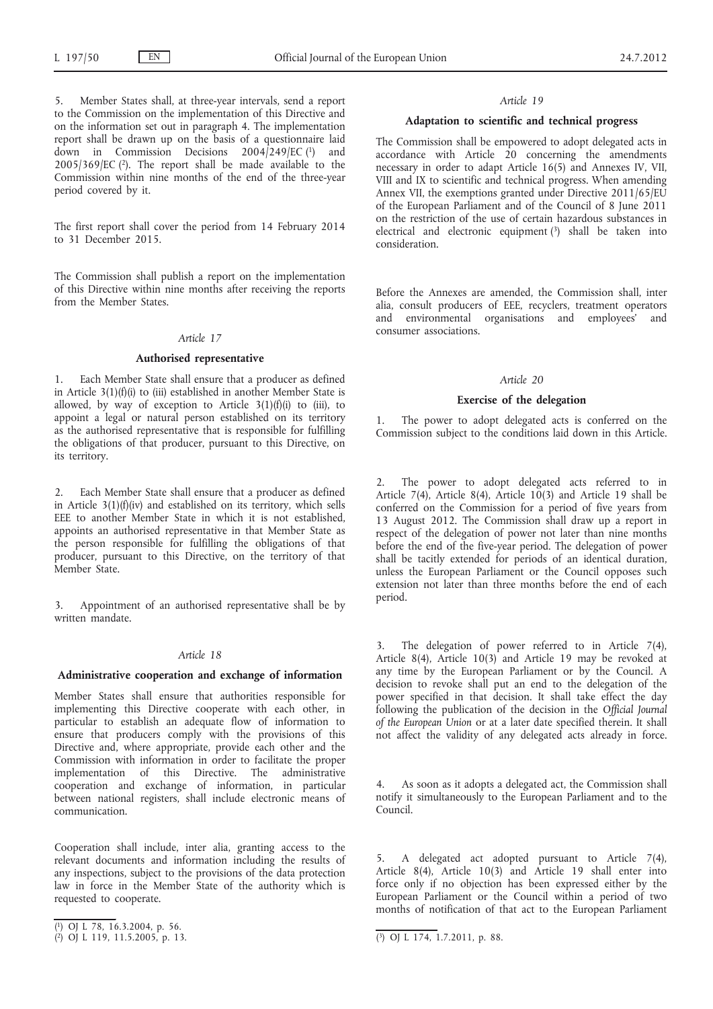5. Member States shall, at three-year intervals, send a report to the Commission on the implementation of this Directive and on the information set out in paragraph 4. The implementation report shall be drawn up on the basis of a questionnaire laid down in Commission Decisions 2004/249/EC (1) and  $2005/369/EC$  (2). The report shall be made available to the Commission within nine months of the end of the three-year period covered by it.

The first report shall cover the period from 14 February 2014 to 31 December 2015.

The Commission shall publish a report on the implementation of this Directive within nine months after receiving the reports from the Member States.

## *Article 17*

#### **Authorised representative**

Each Member State shall ensure that a producer as defined in Article  $3(1)(f)(i)$  to (iii) established in another Member State is allowed, by way of exception to Article  $3(1)(f)(i)$  to (iii), to appoint a legal or natural person established on its territory as the authorised representative that is responsible for fulfilling the obligations of that producer, pursuant to this Directive, on its territory.

2. Each Member State shall ensure that a producer as defined in Article  $3(1)(f)(iv)$  and established on its territory, which sells EEE to another Member State in which it is not established, appoints an authorised representative in that Member State as the person responsible for fulfilling the obligations of that producer, pursuant to this Directive, on the territory of that Member State.

3. Appointment of an authorised representative shall be by written mandate.

## *Article 18*

#### **Administrative cooperation and exchange of information**

Member States shall ensure that authorities responsible for implementing this Directive cooperate with each other, in particular to establish an adequate flow of information to ensure that producers comply with the provisions of this Directive and, where appropriate, provide each other and the Commission with information in order to facilitate the proper implementation of this Directive. The administrative cooperation and exchange of information, in particular between national registers, shall include electronic means of communication.

Cooperation shall include, inter alia, granting access to the relevant documents and information including the results of any inspections, subject to the provisions of the data protection law in force in the Member State of the authority which is requested to cooperate.

#### *Article 19*

### **Adaptation to scientific and technical progress**

The Commission shall be empowered to adopt delegated acts in  $accordance$  with Article  $\overrightarrow{20}$  concerning the amendments necessary in order to adapt Article 16(5) and Annexes IV, VII, VIII and IX to scientific and technical progress. When amending Annex VII, the exemptions granted under Directive 2011/65/EU of the European Parliament and of the Council of 8 June 2011 on the restriction of the use of certain hazardous substances in electrical and electronic equipment  $(3)$  shall be taken into consideration.

Before the Annexes are amended, the Commission shall, inter alia, consult producers of EEE, recyclers, treatment operators and environmental organisations and employees' and consumer associations.

#### *Article 20*

## **Exercise of the delegation**

The power to adopt delegated acts is conferred on the Commission subject to the conditions laid down in this Article.

The power to adopt delegated acts referred to in Article 7(4), Article 8(4), Article 10(3) and Article 19 shall be conferred on the Commission for a period of five years from 13 August 2012. The Commission shall draw up a report in respect of the delegation of power not later than nine months before the end of the five-year period. The delegation of power shall be tacitly extended for periods of an identical duration, unless the European Parliament or the Council opposes such extension not later than three months before the end of each period.

3. The delegation of power referred to in Article 7(4), Article 8(4), Article 10(3) and Article 19 may be revoked at any time by the European Parliament or by the Council. A decision to revoke shall put an end to the delegation of the power specified in that decision. It shall take effect the day following the publication of the decision in the *Official Journal of the European Union* or at a later date specified therein. It shall not affect the validity of any delegated acts already in force.

As soon as it adopts a delegated act, the Commission shall notify it simultaneously to the European Parliament and to the Council.

5. A delegated act adopted pursuant to Article 7(4), Article 8(4), Article 10(3) and Article 19 shall enter into force only if no objection has been expressed either by the European Parliament or the Council within a period of two months of notification of that act to the European Parliament

<sup>(</sup> 1) OJ L 78, 16.3.2004, p. 56.

<sup>(</sup> 2) OJ L 119, 11.5.2005, p. 13. (3) OJ L 174, 1.7.2011, p. 88.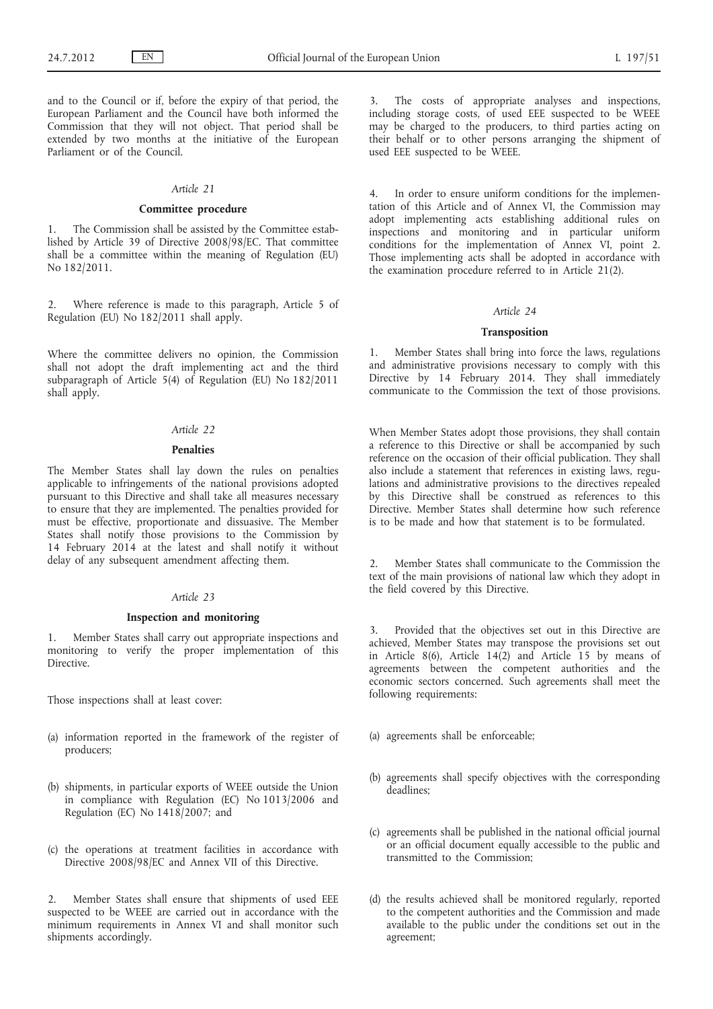and to the Council or if, before the expiry of that period, the European Parliament and the Council have both informed the Commission that they will not object. That period shall be extended by two months at the initiative of the European Parliament or of the Council.

#### *Article 21*

### **Committee procedure**

1. The Commission shall be assisted by the Committee estab-1. The commission shall be accessed. shall be a committee within the meaning of Regulation (EU) No 182/2011.

2. Where reference is made to this paragraph, Article 5 of Regulation (EU) No 182/2011 shall apply.

Where the committee delivers no opinion, the Commission shall not adopt the draft implementing act and the third subparagraph of Article 5(4) of Regulation (EU) No 182/2011 shall apply.

## *Article 22*

## **Penalties**

The Member States shall lay down the rules on penalties applicable to infringements of the national provisions adopted pursuant to this Directive and shall take all measures necessary to ensure that they are implemented. The penalties provided for must be effective, proportionate and dissuasive. The Member States shall notify those provisions to the Commission by 14 February 2014 at the latest and shall notify it without delay of any subsequent amendment affecting them.

## *Article 23*

#### **Inspection and monitoring**

1. Member States shall carry out appropriate inspections and monitoring to verify the proper implementation of this Directive.

Those inspections shall at least cover:

- (a) information reported in the framework of the register of producers;
- (b) shipments, in particular exports of WEEE outside the Union in compliance with Regulation (EC) No 1013/2006 and Regulation (EC) No 1418/2007; and
- (c) the operations at treatment facilities in accordance with Directive 2008/98/EC and Annex VII of this Directive.

2. Member States shall ensure that shipments of used EEE suspected to be WEEE are carried out in accordance with the minimum requirements in Annex VI and shall monitor such shipments accordingly.

The costs of appropriate analyses and inspections, including storage costs, of used EEE suspected to be WEEE may be charged to the producers, to third parties acting on their behalf or to other persons arranging the shipment of used EEE suspected to be WEEE.

4. In order to ensure uniform conditions for the implementation of this Article and of Annex VI, the Commission may adopt implementing acts establishing additional rules on inspections and monitoring and in particular uniform conditions for the implementation of Annex VI, point 2. Those implementing acts shall be adopted in accordance with the examination procedure referred to in Article 21(2).

#### *Article 24*

### **Transposition**

1. Member States shall bring into force the laws, regulations and administrative provisions necessary to comply with this Directive by 14 February 2014. They shall immediately communicate to the Commission the text of those provisions.

When Member States adopt those provisions, they shall contain a reference to this Directive or shall be accompanied by such reference on the occasion of their official publication. They shall also include a statement that references in existing laws, regulations and administrative provisions to the directives repealed by this Directive shall be construed as references to this Directive. Member States shall determine how such reference is to be made and how that statement is to be formulated.

Member States shall communicate to the Commission the text of the main provisions of national law which they adopt in the field covered by this Directive.

3. Provided that the objectives set out in this Directive are achieved, Member States may transpose the provisions set out in Article 8(6), Article  $14(2)$  and Article 15 by means of agreements between the competent authorities and the economic sectors concerned. Such agreements shall meet the following requirements:

- (a) agreements shall be enforceable;
- (b) agreements shall specify objectives with the corresponding deadlines;
- (c) agreements shall be published in the national official journal or an official document equally accessible to the public and transmitted to the Commission;
- (d) the results achieved shall be monitored regularly, reported to the competent authorities and the Commission and made available to the public under the conditions set out in the agreement;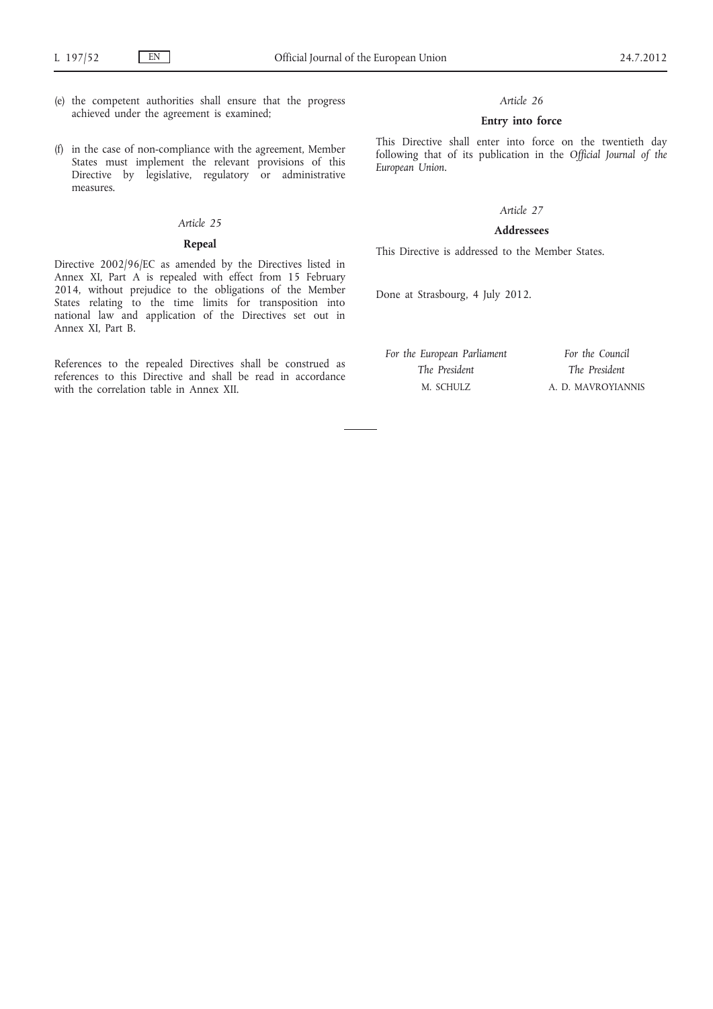- (e) the competent authorities shall ensure that the progress achieved under the agreement is examined;
- (f) in the case of non-compliance with the agreement, Member States must implement the relevant provisions of this Directive by legislative, regulatory or administrative measures.

## *Article 25*

## **Repeal**

Directive 2002/96/EC as amended by the Directives listed in Annex XI, Part A is repealed with effect from 15 February 2014, without prejudice to the obligations of the Member States relating to the time limits for transposition into national law and application of the Directives set out in Annex XI, Part B.

References to the repealed Directives shall be construed as references to this Directive and shall be read in accordance with the correlation table in Annex XII.

### *Article 26*

## **Entry into force**

This Directive shall enter into force on the twentieth day following that of its publication in the *Official Journal of the European Union*.

## *Article 27*

## **Addressees**

This Directive is addressed to the Member States.

Done at Strasbourg, 4 July 2012.

*For the European Parliament The President* M. SCHULZ *For the Council The President* A. D. MAVROYIANNIS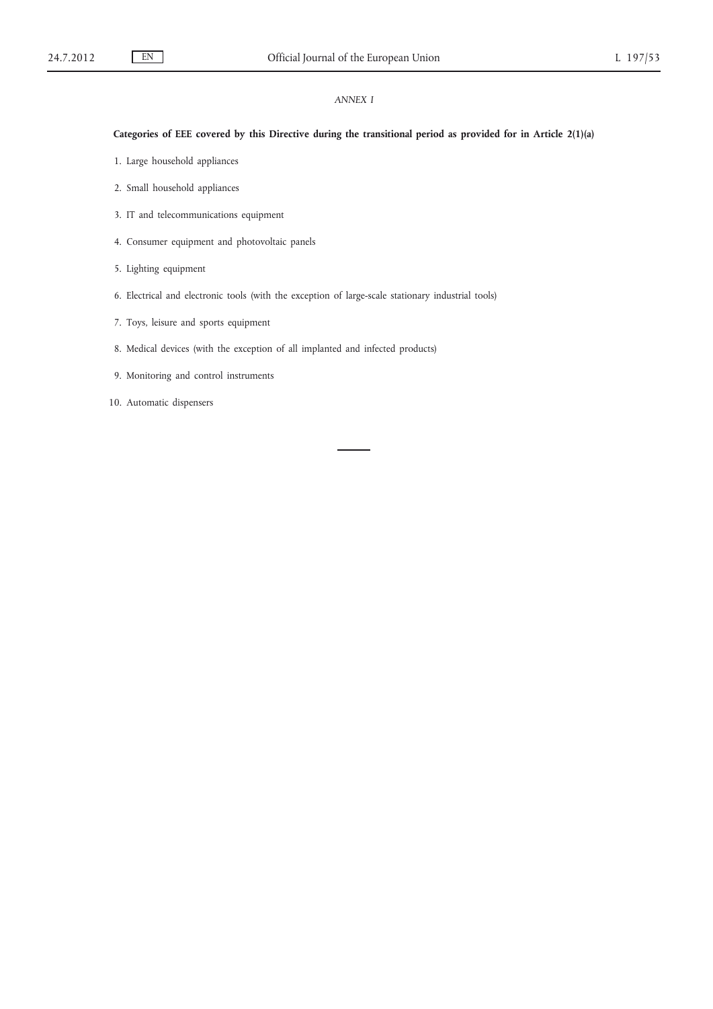## *ANNEX I*

## **Categories of EEE covered by this Directive during the transitional period as provided for in Article 2(1)(a)**

- 1. Large household appliances
- 2. Small household appliances
- 3. IT and telecommunications equipment
- 4. Consumer equipment and photovoltaic panels
- 5. Lighting equipment
- 6. Electrical and electronic tools (with the exception of large-scale stationary industrial tools)
- 7. Toys, leisure and sports equipment
- 8. Medical devices (with the exception of all implanted and infected products)
- 9. Monitoring and control instruments
- 10. Automatic dispensers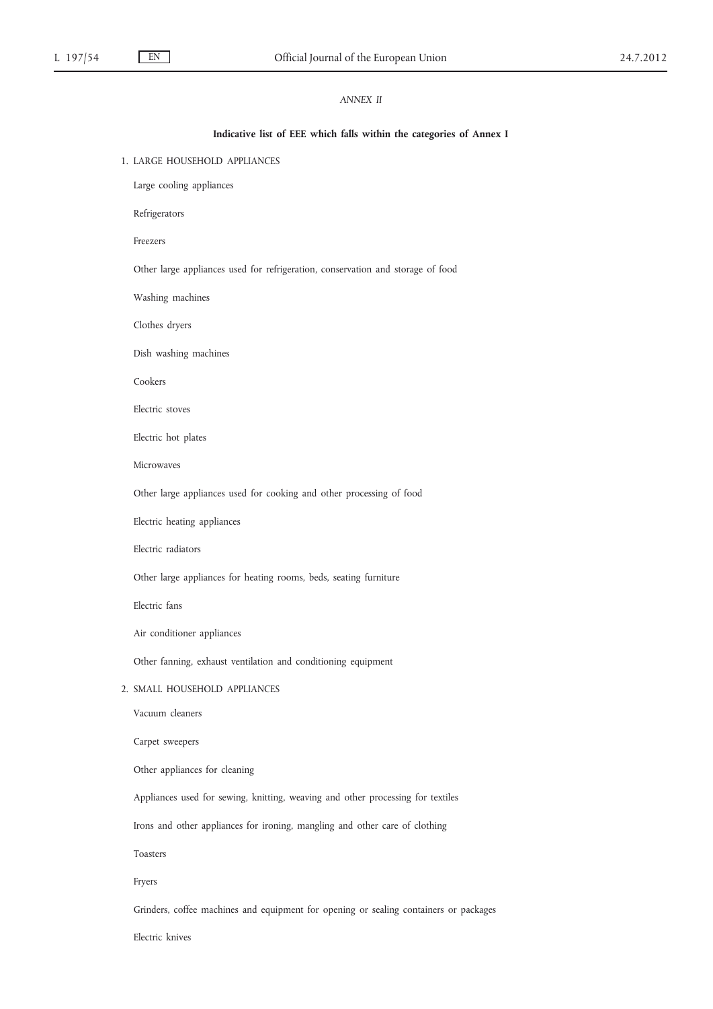## *ANNEX II*

#### **Indicative list of EEE which falls within the categories of Annex I**

1. LARGE HOUSEHOLD APPLIANCES

Large cooling appliances

Refrigerators

Freezers

Other large appliances used for refrigeration, conservation and storage of food

Washing machines

Clothes dryers

Dish washing machines

Cookers

Electric stoves

Electric hot plates

Microwaves

Other large appliances used for cooking and other processing of food

Electric heating appliances

Electric radiators

Other large appliances for heating rooms, beds, seating furniture

Electric fans

Air conditioner appliances

Other fanning, exhaust ventilation and conditioning equipment

#### 2. SMALL HOUSEHOLD APPLIANCES

Vacuum cleaners

Carpet sweepers

Other appliances for cleaning

Appliances used for sewing, knitting, weaving and other processing for textiles

Irons and other appliances for ironing, mangling and other care of clothing

Toasters

Fryers

Grinders, coffee machines and equipment for opening or sealing containers or packages

Electric knives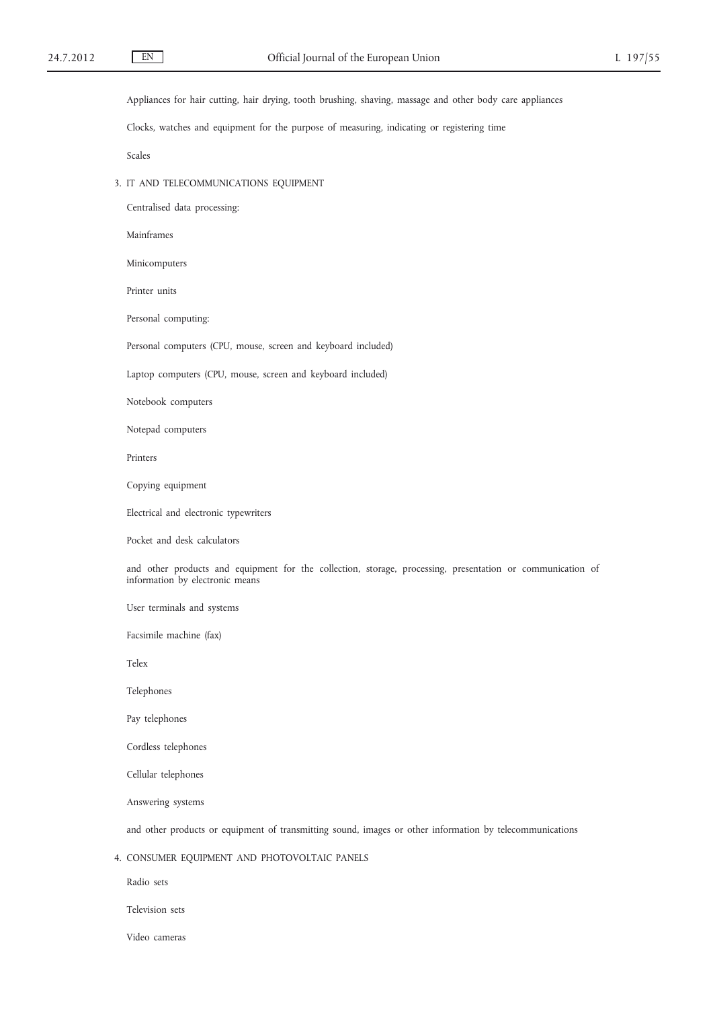Appliances for hair cutting, hair drying, tooth brushing, shaving, massage and other body care appliances

Clocks, watches and equipment for the purpose of measuring, indicating or registering time

Scales

3. IT AND TELECOMMUNICATIONS EQUIPMENT

Centralised data processing:

Mainframes

Minicomputers

Printer units

Personal computing:

Personal computers (CPU, mouse, screen and keyboard included)

Laptop computers (CPU, mouse, screen and keyboard included)

Notebook computers

Notepad computers

Printers

Copying equipment

Electrical and electronic typewriters

Pocket and desk calculators

and other products and equipment for the collection, storage, processing, presentation or communication of information by electronic means

User terminals and systems

Facsimile machine (fax)

Telex

Telephones

Pay telephones

Cordless telephones

Cellular telephones

Answering systems

and other products or equipment of transmitting sound, images or other information by telecommunications

4. CONSUMER EQUIPMENT AND PHOTOVOLTAIC PANELS

Radio sets

Television sets

Video cameras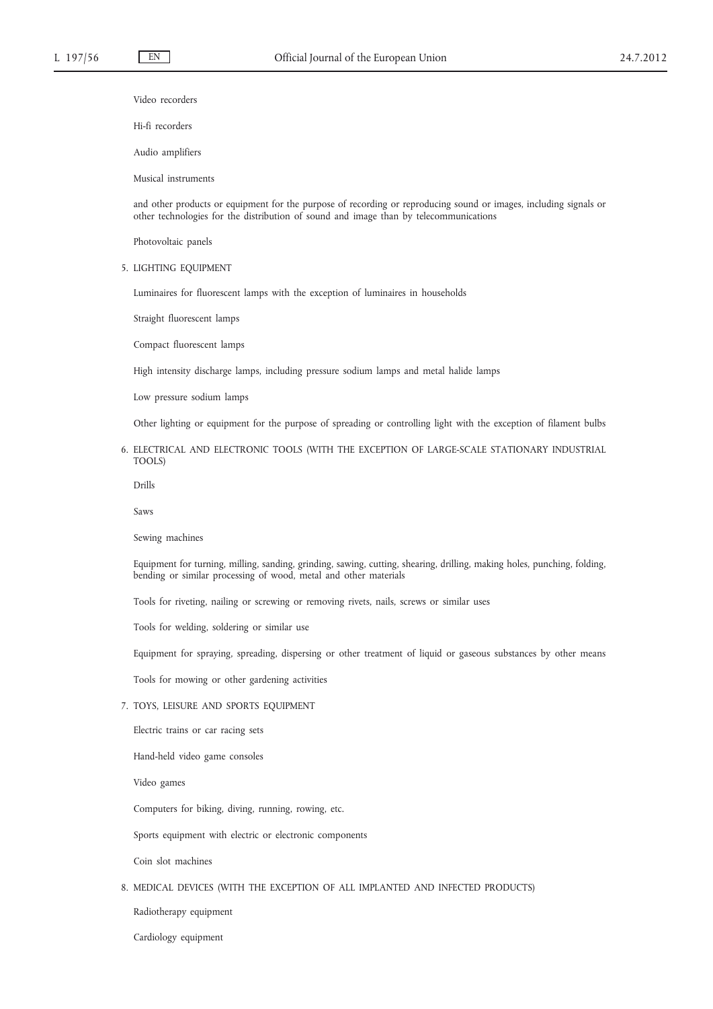Video recorders

Hi-fi recorders

Audio amplifiers

Musical instruments

and other products or equipment for the purpose of recording or reproducing sound or images, including signals or other technologies for the distribution of sound and image than by telecommunications

Photovoltaic panels

5. LIGHTING EQUIPMENT

Luminaires for fluorescent lamps with the exception of luminaires in households

Straight fluorescent lamps

Compact fluorescent lamps

High intensity discharge lamps, including pressure sodium lamps and metal halide lamps

Low pressure sodium lamps

Other lighting or equipment for the purpose of spreading or controlling light with the exception of filament bulbs

## 6. ELECTRICAL AND ELECTRONIC TOOLS (WITH THE EXCEPTION OF LARGE-SCALE STATIONARY INDUSTRIAL TOOLS)

Drills

Saws

Sewing machines

Equipment for turning, milling, sanding, grinding, sawing, cutting, shearing, drilling, making holes, punching, folding, bending or similar processing of wood, metal and other materials

Tools for riveting, nailing or screwing or removing rivets, nails, screws or similar uses

Tools for welding, soldering or similar use

Equipment for spraying, spreading, dispersing or other treatment of liquid or gaseous substances by other means

Tools for mowing or other gardening activities

### 7. TOYS, LEISURE AND SPORTS EQUIPMENT

Electric trains or car racing sets

Hand-held video game consoles

Video games

Computers for biking, diving, running, rowing, etc.

Sports equipment with electric or electronic components

Coin slot machines

## 8. MEDICAL DEVICES (WITH THE EXCEPTION OF ALL IMPLANTED AND INFECTED PRODUCTS)

Radiotherapy equipment

Cardiology equipment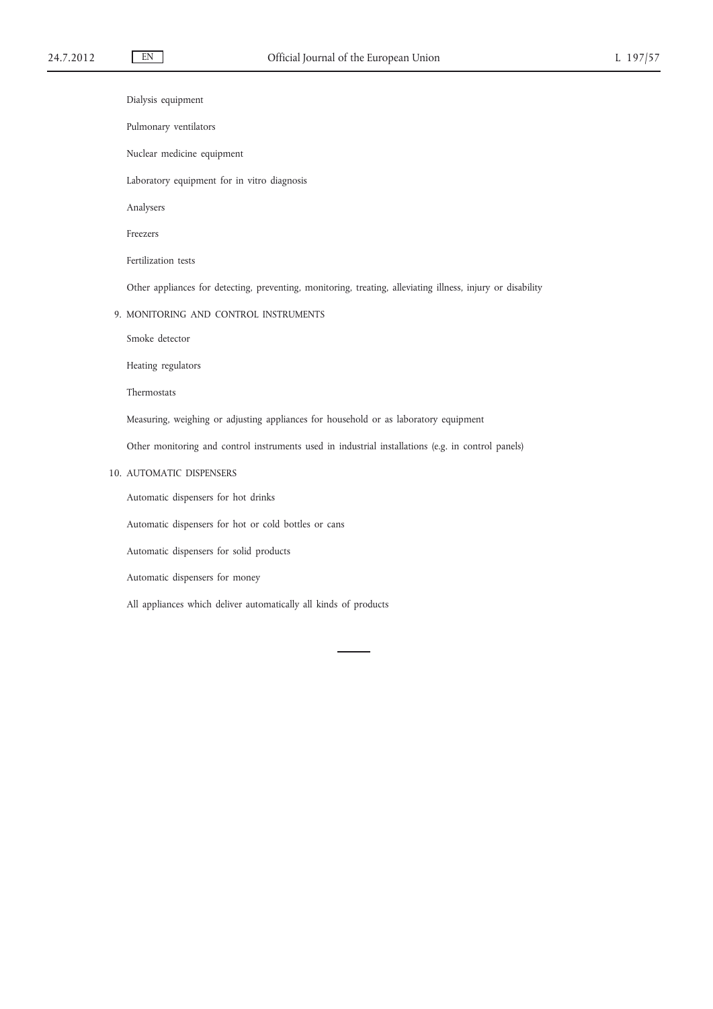Dialysis equipment

- Pulmonary ventilators
- Nuclear medicine equipment

Laboratory equipment for in vitro diagnosis

Analysers

Freezers

Fertilization tests

Other appliances for detecting, preventing, monitoring, treating, alleviating illness, injury or disability

9. MONITORING AND CONTROL INSTRUMENTS

Smoke detector

Heating regulators

Thermostats

Measuring, weighing or adjusting appliances for household or as laboratory equipment

Other monitoring and control instruments used in industrial installations (e.g. in control panels)

## 10. AUTOMATIC DISPENSERS

Automatic dispensers for hot drinks

Automatic dispensers for hot or cold bottles or cans

Automatic dispensers for solid products

Automatic dispensers for money

All appliances which deliver automatically all kinds of products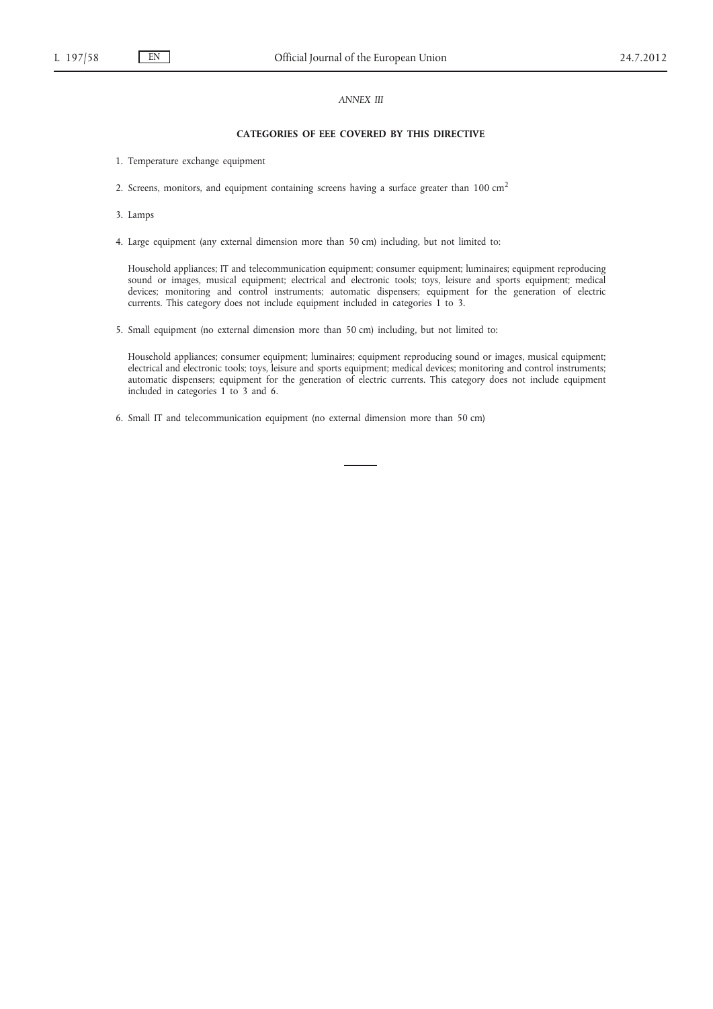## *ANNEX III*

### **CATEGORIES OF EEE COVERED BY THIS DIRECTIVE**

- 1. Temperature exchange equipment
- 2. Screens, monitors, and equipment containing screens having a surface greater than  $100 \text{ cm}^2$
- 3. Lamps
- 4. Large equipment (any external dimension more than 50 cm) including, but not limited to:

Household appliances; IT and telecommunication equipment; consumer equipment; luminaires; equipment reproducing sound or images, musical equipment; electrical and electronic tools; toys, leisure and sports equipment; medical devices; monitoring and control instruments; automatic dispensers; equipment for the generation of electric currents. This category does not include equipment included in categories 1 to 3.

5. Small equipment (no external dimension more than 50 cm) including, but not limited to:

Household appliances; consumer equipment; luminaires; equipment reproducing sound or images, musical equipment; electrical and electronic tools; toys, leisure and sports equipment; medical devices; monitoring and control instruments; automatic dispensers; equipment for the generation of electric currents. This category does not include equipment included in categories 1 to 3 and 6.

6. Small IT and telecommunication equipment (no external dimension more than 50 cm)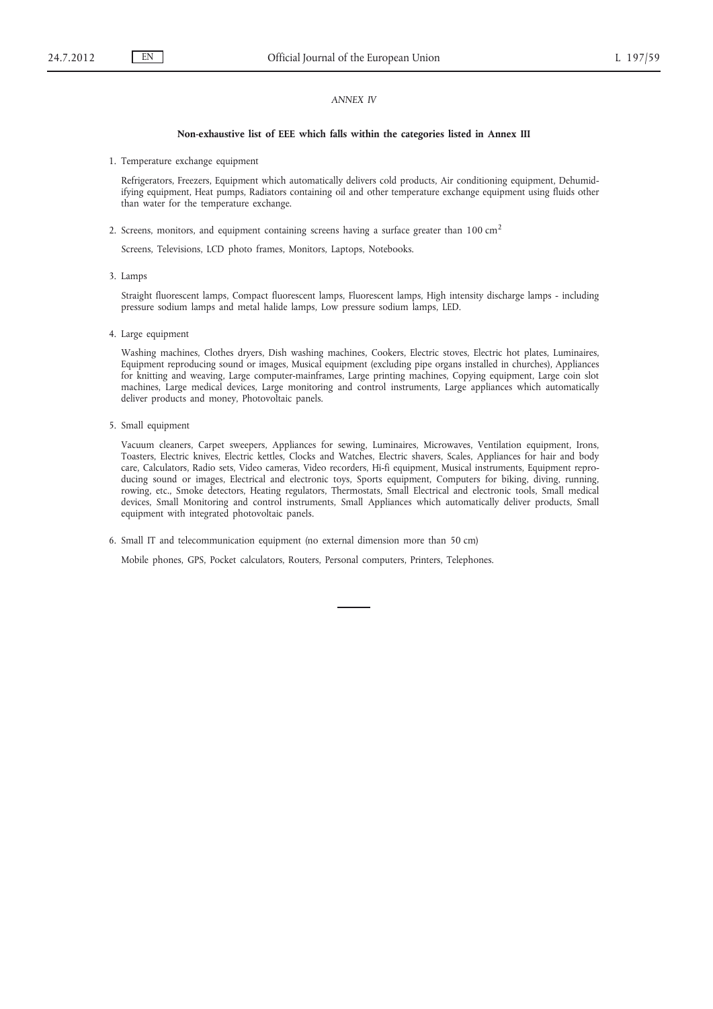### *ANNEX IV*

#### **Non-exhaustive list of EEE which falls within the categories listed in Annex III**

1. Temperature exchange equipment

Refrigerators, Freezers, Equipment which automatically delivers cold products, Air conditioning equipment, Dehumidifying equipment, Heat pumps, Radiators containing oil and other temperature exchange equipment using fluids other than water for the temperature exchange.

2. Screens, monitors, and equipment containing screens having a surface greater than 100 cm<sup>2</sup>

Screens, Televisions, LCD photo frames, Monitors, Laptops, Notebooks.

3. Lamps

Straight fluorescent lamps, Compact fluorescent lamps, Fluorescent lamps, High intensity discharge lamps - including pressure sodium lamps and metal halide lamps, Low pressure sodium lamps, LED.

4. Large equipment

Washing machines, Clothes dryers, Dish washing machines, Cookers, Electric stoves, Electric hot plates, Luminaires, Equipment reproducing sound or images, Musical equipment (excluding pipe organs installed in churches), Appliances for knitting and weaving, Large computer-mainframes, Large printing machines, Copying equipment, Large coin slot machines, Large medical devices, Large monitoring and control instruments, Large appliances which automatically deliver products and money, Photovoltaic panels.

5. Small equipment

Vacuum cleaners, Carpet sweepers, Appliances for sewing, Luminaires, Microwaves, Ventilation equipment, Irons, Toasters, Electric knives, Electric kettles, Clocks and Watches, Electric shavers, Scales, Appliances for hair and body care, Calculators, Radio sets, Video cameras, Video recorders, Hi-fi equipment, Musical instruments, Equipment reproducing sound or images, Electrical and electronic toys, Sports equipment, Computers for biking, diving, running, rowing, etc., Smoke detectors, Heating regulators, Thermostats, Small Electrical and electronic tools, Small medical devices, Small Monitoring and control instruments, Small Appliances which automatically deliver products, Small equipment with integrated photovoltaic panels.

6. Small IT and telecommunication equipment (no external dimension more than 50 cm)

Mobile phones, GPS, Pocket calculators, Routers, Personal computers, Printers, Telephones.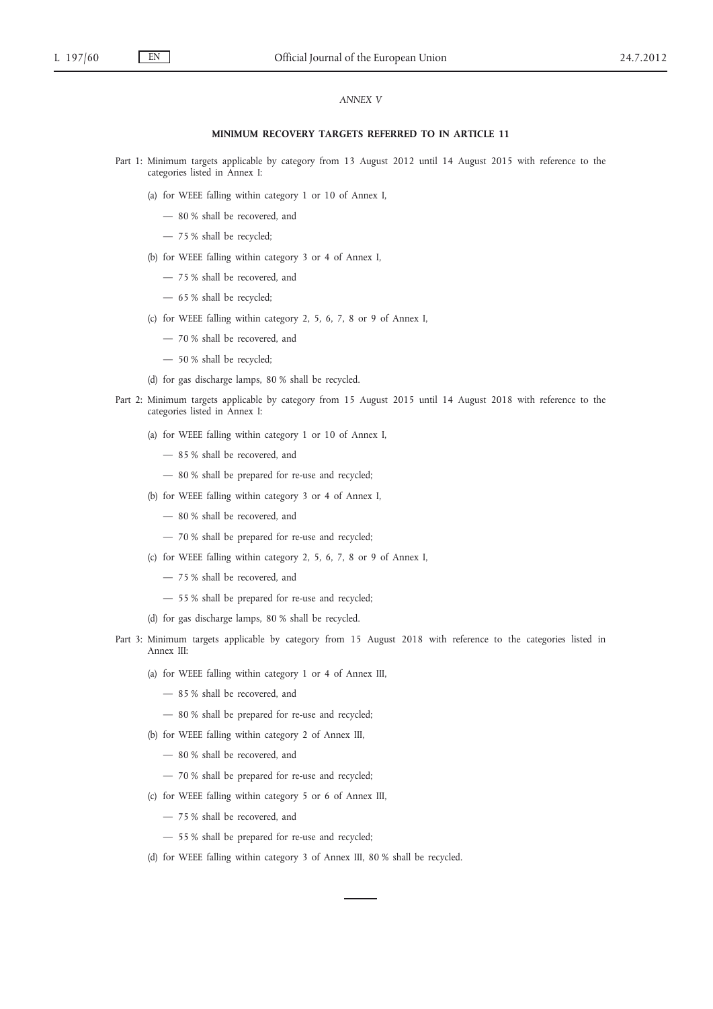### *ANNEX V*

#### **MINIMUM RECOVERY TARGETS REFERRED TO IN ARTICLE 11**

- Part 1: Minimum targets applicable by category from 13 August 2012 until 14 August 2015 with reference to the categories listed in Annex I:
	- (a) for WEEE falling within category 1 or 10 of Annex I,
		- 80 % shall be recovered, and
		- 75 % shall be recycled;
	- (b) for WEEE falling within category 3 or 4 of Annex I,
		- 75 % shall be recovered, and
		- 65 % shall be recycled;
	- (c) for WEEE falling within category 2, 5, 6, 7, 8 or 9 of Annex I,
		- 70 % shall be recovered, and
		- 50 % shall be recycled;
	- (d) for gas discharge lamps, 80 % shall be recycled.
- Part 2: Minimum targets applicable by category from 15 August 2015 until 14 August 2018 with reference to the categories listed in Annex I:
	- (a) for WEEE falling within category 1 or 10 of Annex I,
		- 85 % shall be recovered, and
		- 80 % shall be prepared for re-use and recycled;
	- (b) for WEEE falling within category 3 or 4 of Annex I,
		- 80 % shall be recovered, and
		- 70 % shall be prepared for re-use and recycled;
	- (c) for WEEE falling within category 2, 5, 6, 7, 8 or 9 of Annex I,
		- 75 % shall be recovered, and
		- 55 % shall be prepared for re-use and recycled;
	- (d) for gas discharge lamps, 80 % shall be recycled.
- Part 3: Minimum targets applicable by category from 15 August 2018 with reference to the categories listed in Annex III:
	- (a) for WEEE falling within category 1 or 4 of Annex III,
		- 85 % shall be recovered, and
		- 80 % shall be prepared for re-use and recycled;
	- (b) for WEEE falling within category 2 of Annex III,
		- 80 % shall be recovered, and
		- 70 % shall be prepared for re-use and recycled;
	- (c) for WEEE falling within category 5 or 6 of Annex III,
		- 75 % shall be recovered, and
		- 55 % shall be prepared for re-use and recycled;
	- (d) for WEEE falling within category 3 of Annex III, 80 % shall be recycled.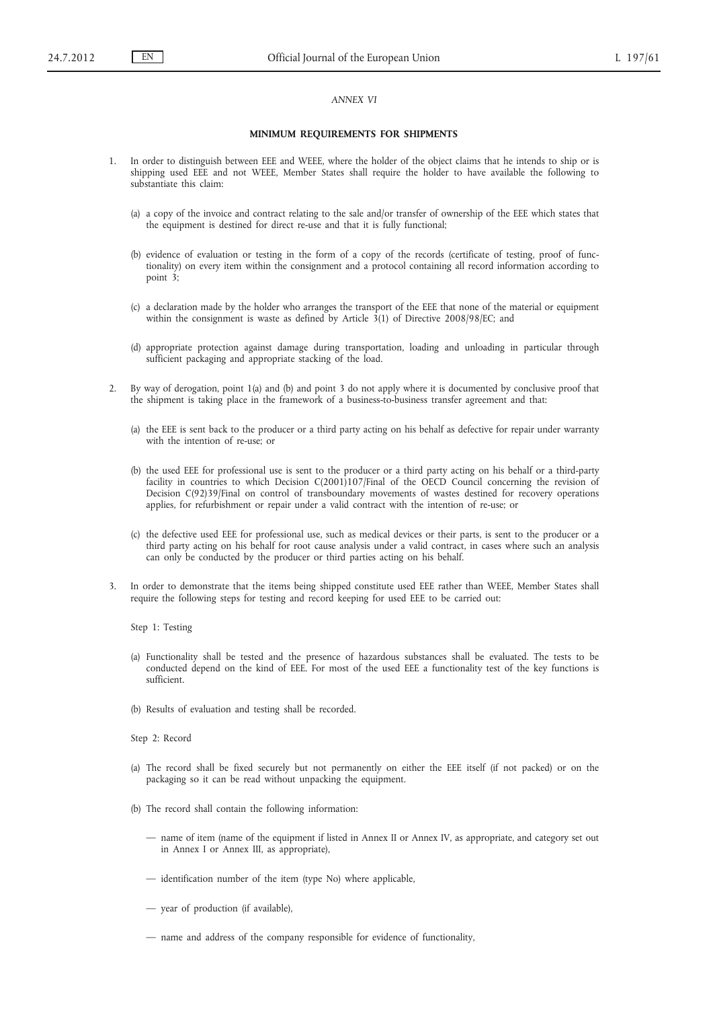## *ANNEX VI*

#### **MINIMUM REQUIREMENTS FOR SHIPMENTS**

- 1. In order to distinguish between EEE and WEEE, where the holder of the object claims that he intends to ship or is shipping used EEE and not WEEE, Member States shall require the holder to have available the following to substantiate this claim:
	- (a) a copy of the invoice and contract relating to the sale and/or transfer of ownership of the EEE which states that the equipment is destined for direct re-use and that it is fully functional;
	- (b) evidence of evaluation or testing in the form of a copy of the records (certificate of testing, proof of functionality) on every item within the consignment and a protocol containing all record information according to point 3;
	- (c) a declaration made by the holder who arranges the transport of the EEE that none of the material or equipment within the consignment is waste as defined by Article 3(1) of Directive 2008/98/EC; and
	- (d) appropriate protection against damage during transportation, loading and unloading in particular through sufficient packaging and appropriate stacking of the load.
- 2. By way of derogation, point 1(a) and (b) and point 3 do not apply where it is documented by conclusive proof that the shipment is taking place in the framework of a business-to-business transfer agreement and that:
	- (a) the EEE is sent back to the producer or a third party acting on his behalf as defective for repair under warranty with the intention of re-use; or
	- (b) the used EEE for professional use is sent to the producer or a third party acting on his behalf or a third-party facility in countries to which Decision C(2001)107/Final of the OECD Council concerning the revision of Decision C(92)39/Final on control of transboundary movements of wastes destined for recovery operations applies, for refurbishment or repair under a valid contract with the intention of re-use; or
	- (c) the defective used EEE for professional use, such as medical devices or their parts, is sent to the producer or a third party acting on his behalf for root cause analysis under a valid contract, in cases where such an analysis can only be conducted by the producer or third parties acting on his behalf.
- 3. In order to demonstrate that the items being shipped constitute used EEE rather than WEEE, Member States shall require the following steps for testing and record keeping for used EEE to be carried out:

Step 1: Testing

- (a) Functionality shall be tested and the presence of hazardous substances shall be evaluated. The tests to be conducted depend on the kind of EEE. For most of the used EEE a functionality test of the key functions is sufficient.
- (b) Results of evaluation and testing shall be recorded.

Step 2: Record

- (a) The record shall be fixed securely but not permanently on either the EEE itself (if not packed) or on the packaging so it can be read without unpacking the equipment.
- (b) The record shall contain the following information:
	- name of item (name of the equipment if listed in Annex II or Annex IV, as appropriate, and category set out in Annex I or Annex III, as appropriate),
	- identification number of the item (type No) where applicable,
	- year of production (if available),
	- name and address of the company responsible for evidence of functionality,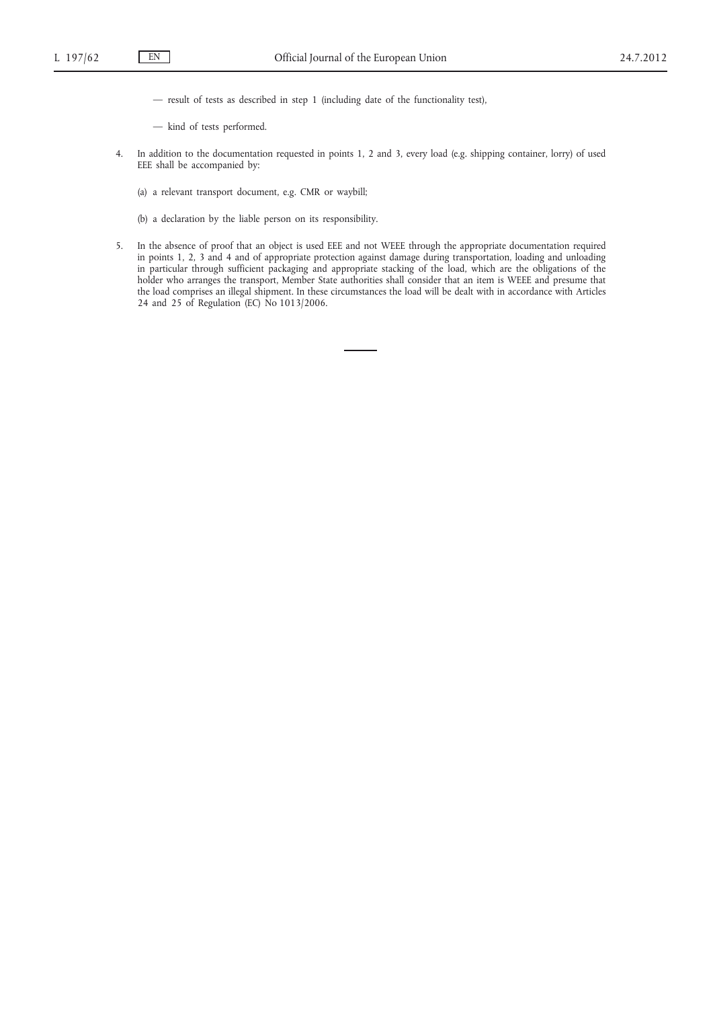- result of tests as described in step 1 (including date of the functionality test),
- kind of tests performed.
- 4. In addition to the documentation requested in points 1, 2 and 3, every load (e.g. shipping container, lorry) of used EEE shall be accompanied by:
	- (a) a relevant transport document, e.g. CMR or waybill;
	- (b) a declaration by the liable person on its responsibility.
- 5. In the absence of proof that an object is used EEE and not WEEE through the appropriate documentation required in points 1, 2, 3 and 4 and of appropriate protection against damage during transportation, loading and unloading in particular through sufficient packaging and appropriate stacking of the load, which are the obligations of the holder who arranges the transport, Member State authorities shall consider that an item is WEEE and presume that the load comprises an illegal shipment. In these circumstances the load will be dealt with in accordance with Articles 24 and 25 of Regulation (EC) No 1013/2006.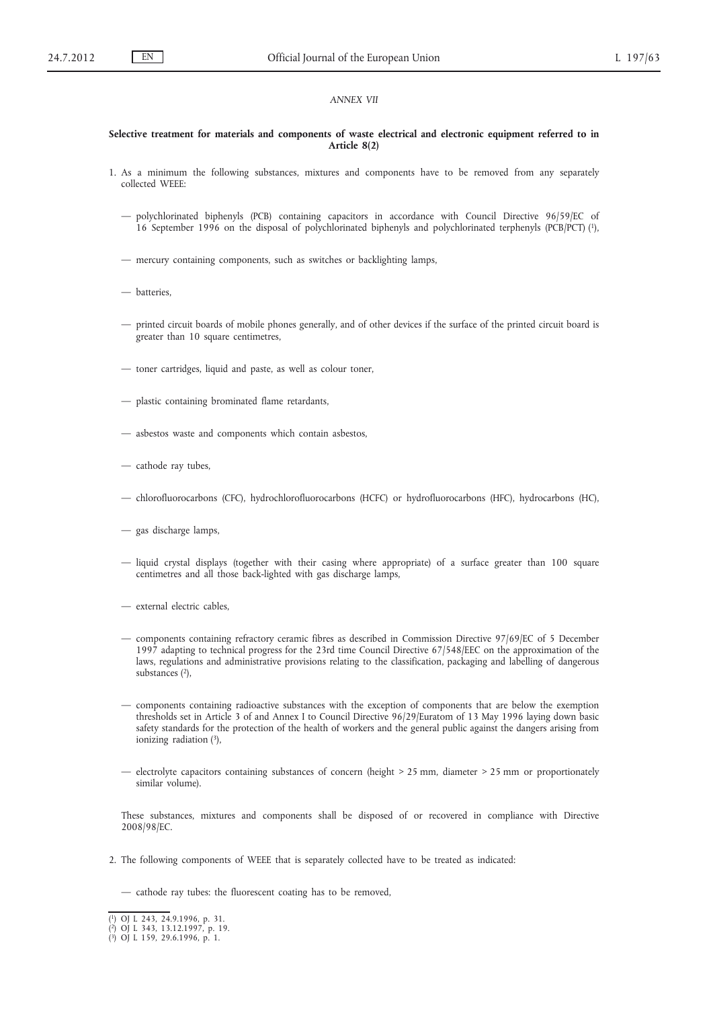#### *ANNEX VII*

#### **Selective treatment for materials and components of waste electrical and electronic equipment referred to in Article 8(2)**

- 1. As a minimum the following substances, mixtures and components have to be removed from any separately collected WEEE:
	- polychlorinated biphenyls (PCB) containing capacitors in accordance with Council Directive 96/59/EC of 16 September 1996 on the disposal of polychlorinated biphenyls and polychlorinated terphenyls (PCB/PCT) (1),
	- mercury containing components, such as switches or backlighting lamps,
	- batteries,
	- printed circuit boards of mobile phones generally, and of other devices if the surface of the printed circuit board is greater than 10 square centimetres,
	- toner cartridges, liquid and paste, as well as colour toner,
	- plastic containing brominated flame retardants,
	- asbestos waste and components which contain asbestos,
	- cathode ray tubes,
	- chlorofluorocarbons (CFC), hydrochlorofluorocarbons (HCFC) or hydrofluorocarbons (HFC), hydrocarbons (HC),
	- gas discharge lamps,
	- liquid crystal displays (together with their casing where appropriate) of a surface greater than 100 square centimetres and all those back-lighted with gas discharge lamps,
	- external electric cables,
	- components containing refractory ceramic fibres as described in Commission Directive 97/69/EC of 5 December 1997 adapting to technical progress for the 23rd time Council Directive 67/548/EEC on the approximation of the laws, regulations and administrative provisions relating to the classification, packaging and labelling of dangerous substances (2),
	- components containing radioactive substances with the exception of components that are below the exemption thresholds set in Article 3 of and Annex I to Council Directive 96/29/Euratom of 13 May 1996 laying down basic safety standards for the protection of the health of workers and the general public against the dangers arising from ionizing radiation (3),
	- electrolyte capacitors containing substances of concern (height > 25 mm, diameter > 25 mm or proportionately similar volume).

These substances, mixtures and components shall be disposed of or recovered in compliance with Directive 2008/98/EC.

2. The following components of WEEE that is separately collected have to be treated as indicated:

— cathode ray tubes: the fluorescent coating has to be removed,

<sup>(</sup> 1) OJ L 243, 24.9.1996, p. 31. ( 2) OJ L 343, 13.12.1997, p. 19. ( 3) OJ L 159, 29.6.1996, p. 1.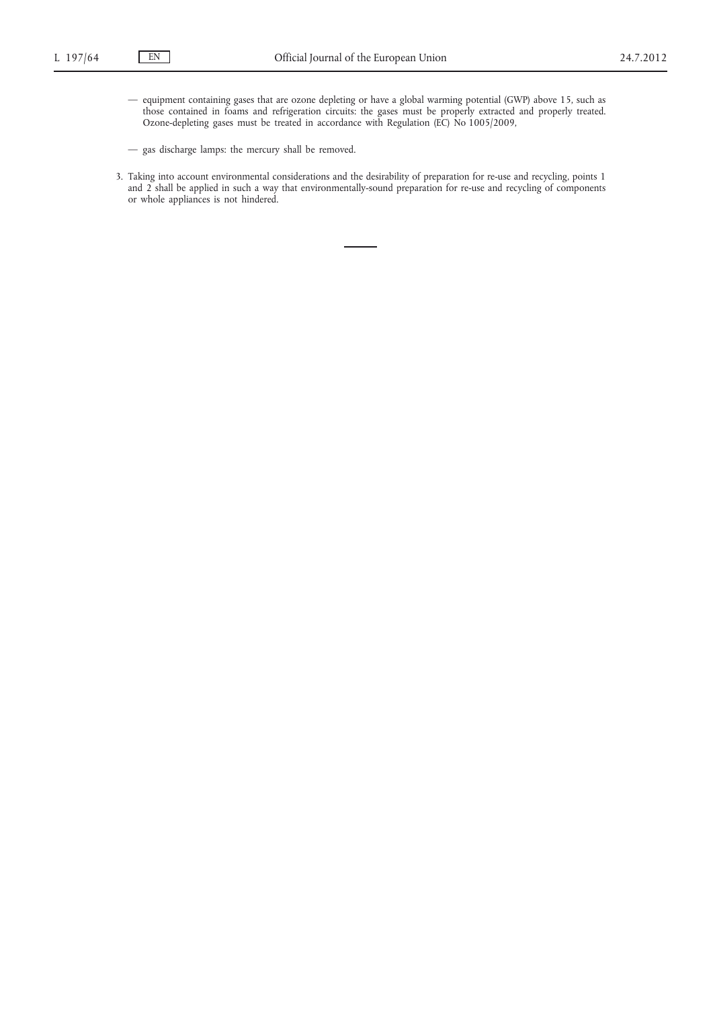- equipment containing gases that are ozone depleting or have a global warming potential (GWP) above 15, such as those contained in foams and refrigeration circuits: the gases must be properly extracted and properly treated. Ozone-depleting gases must be treated in accordance with Regulation (EC) No 1005/2009,
- gas discharge lamps: the mercury shall be removed.
- 3. Taking into account environmental considerations and the desirability of preparation for re-use and recycling, points 1 and 2 shall be applied in such a way that environmentally-sound preparation for re-use and recycling of components or whole appliances is not hindered.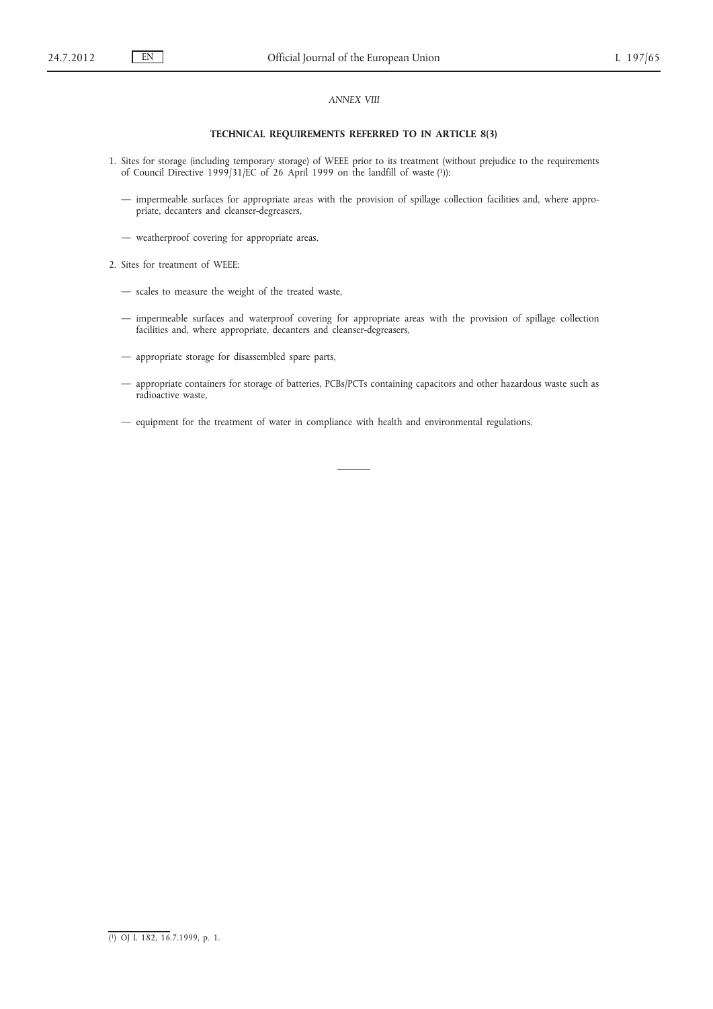## *ANNEX VIII*

## **TECHNICAL REQUIREMENTS REFERRED TO IN ARTICLE 8(3)**

- 1. Sites for storage (including temporary storage) of WEEE prior to its treatment (without prejudice to the requirements of Council Directive 1999/31/EC of 26 April 1999 on the landfill of waste (1)):
	- impermeable surfaces for appropriate areas with the provision of spillage collection facilities and, where appropriate, decanters and cleanser-degreasers,
	- weatherproof covering for appropriate areas.
- 2. Sites for treatment of WEEE:
	- scales to measure the weight of the treated waste,
	- impermeable surfaces and waterproof covering for appropriate areas with the provision of spillage collection facilities and, where appropriate, decanters and cleanser-degreasers,
	- appropriate storage for disassembled spare parts,
	- appropriate containers for storage of batteries, PCBs/PCTs containing capacitors and other hazardous waste such as radioactive waste,
	- equipment for the treatment of water in compliance with health and environmental regulations.

<sup>(</sup> 1) OJ L 182, 16.7.1999, p. 1.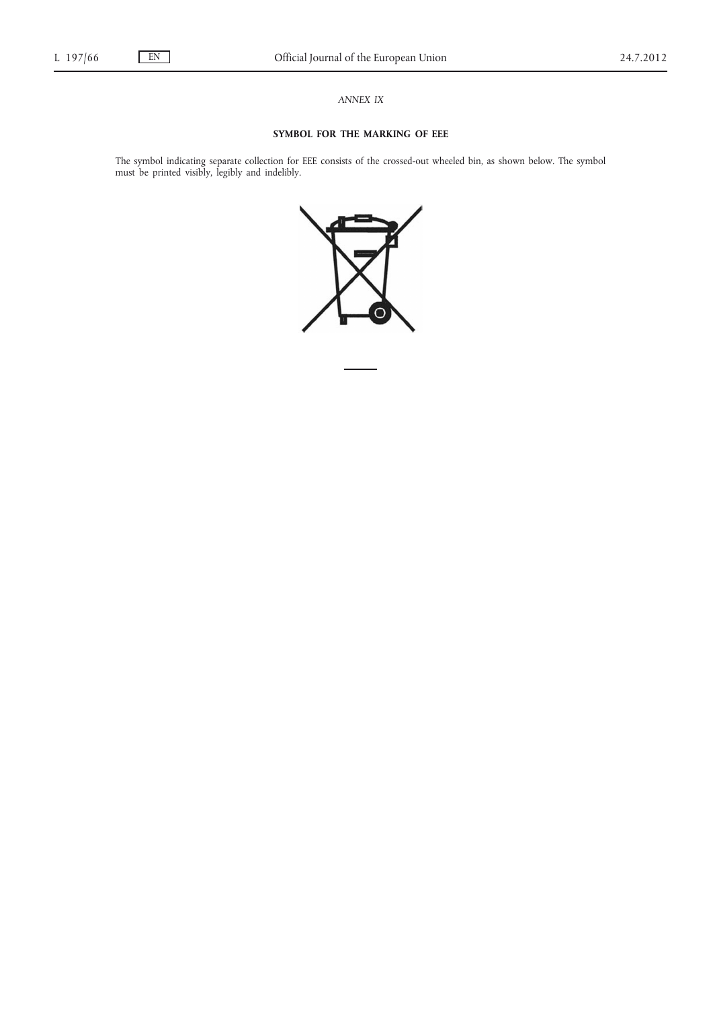*ANNEX IX*

## **SYMBOL FOR THE MARKING OF EEE**

The symbol indicating separate collection for EEE consists of the crossed-out wheeled bin, as shown below. The symbol must be printed visibly, legibly and indelibly.

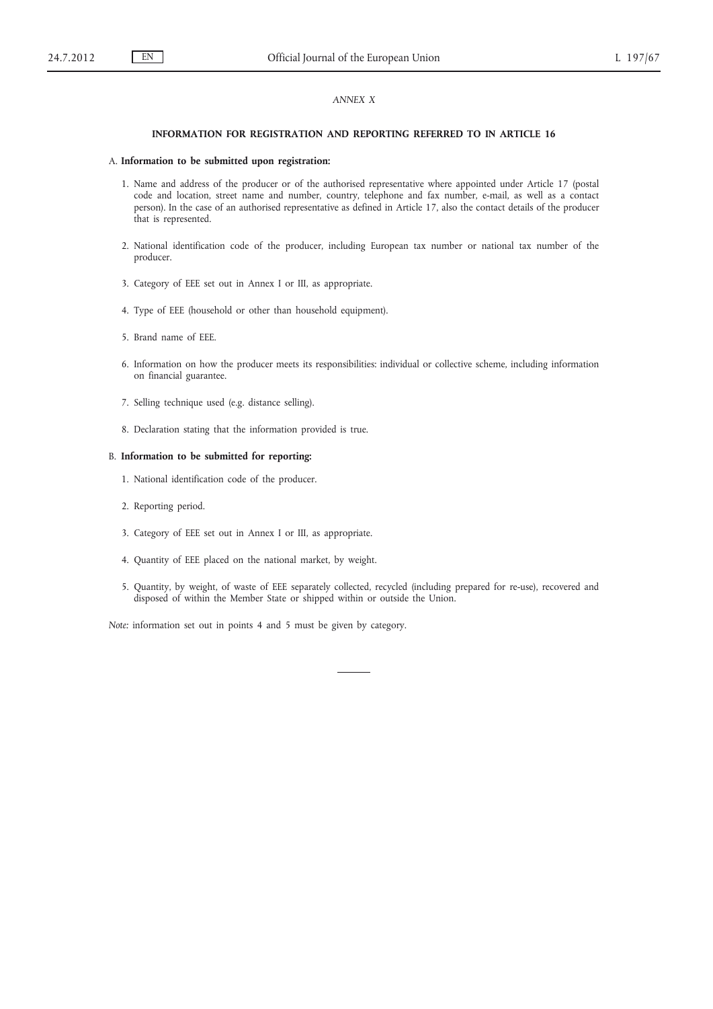## *ANNEX X*

#### **INFORMATION FOR REGISTRATION AND REPORTING REFERRED TO IN ARTICLE 16**

#### A. **Information to be submitted upon registration:**

- 1. Name and address of the producer or of the authorised representative where appointed under Article 17 (postal code and location, street name and number, country, telephone and fax number, e-mail, as well as a contact person). In the case of an authorised representative as defined in Article 17, also the contact details of the producer that is represented.
- 2. National identification code of the producer, including European tax number or national tax number of the producer.
- 3. Category of EEE set out in Annex I or III, as appropriate.
- 4. Type of EEE (household or other than household equipment).
- 5. Brand name of EEE.
- 6. Information on how the producer meets its responsibilities: individual or collective scheme, including information on financial guarantee.
- 7. Selling technique used (e.g. distance selling).
- 8. Declaration stating that the information provided is true.

#### B. **Information to be submitted for reporting:**

- 1. National identification code of the producer.
- 2. Reporting period.
- 3. Category of EEE set out in Annex I or III, as appropriate.
- 4. Quantity of EEE placed on the national market, by weight.
- 5. Quantity, by weight, of waste of EEE separately collected, recycled (including prepared for re-use), recovered and disposed of within the Member State or shipped within or outside the Union.

*Note:* information set out in points 4 and 5 must be given by category.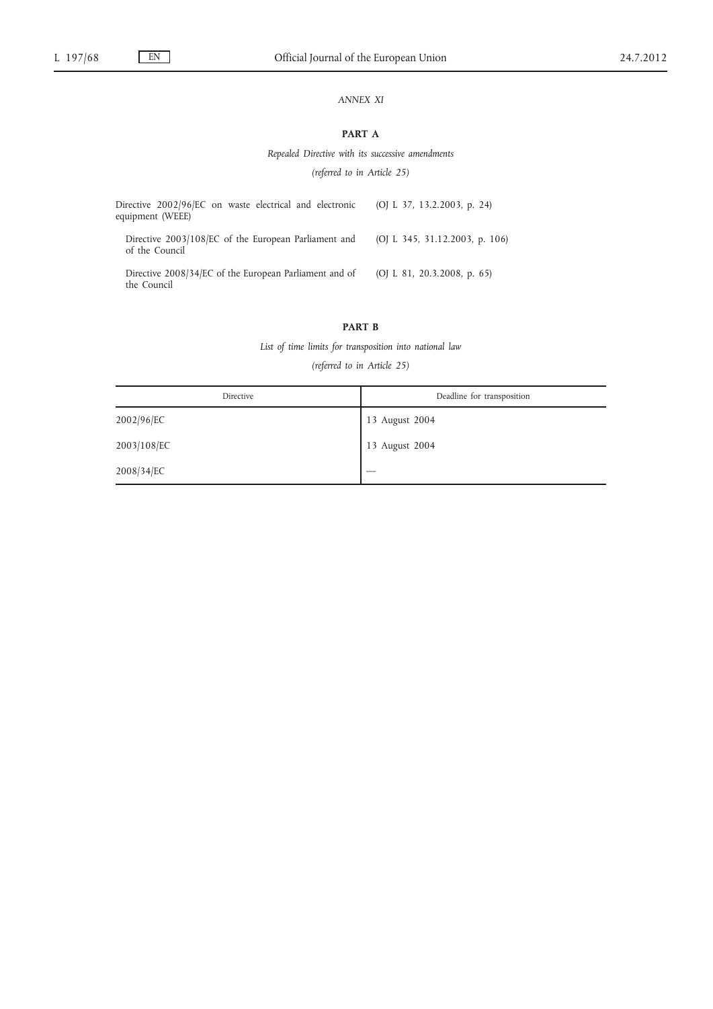# *ANNEX XI*

# **PART A**

*Repealed Directive with its successive amendments*

*(referred to in Article 25)*

| Directive 2002/96/EC on waste electrical and electronic<br>equipment (WEEE) | (OJ L 37, 13.2.2003, p. 24)    |
|-----------------------------------------------------------------------------|--------------------------------|
| Directive 2003/108/EC of the European Parliament and<br>of the Council      | (OJ L 345, 31.12.2003, p. 106) |
| Directive 2008/34/EC of the European Parliament and of<br>the Council       | (OJ L 81, 20.3.2008, p. 65)    |

## **PART B**

*List of time limits for transposition into national law*

*(referred to in Article 25)*

| Directive   | Deadline for transposition |
|-------------|----------------------------|
| 2002/96/EC  | 13 August 2004             |
| 2003/108/EC | 13 August 2004             |
| 2008/34/EC  |                            |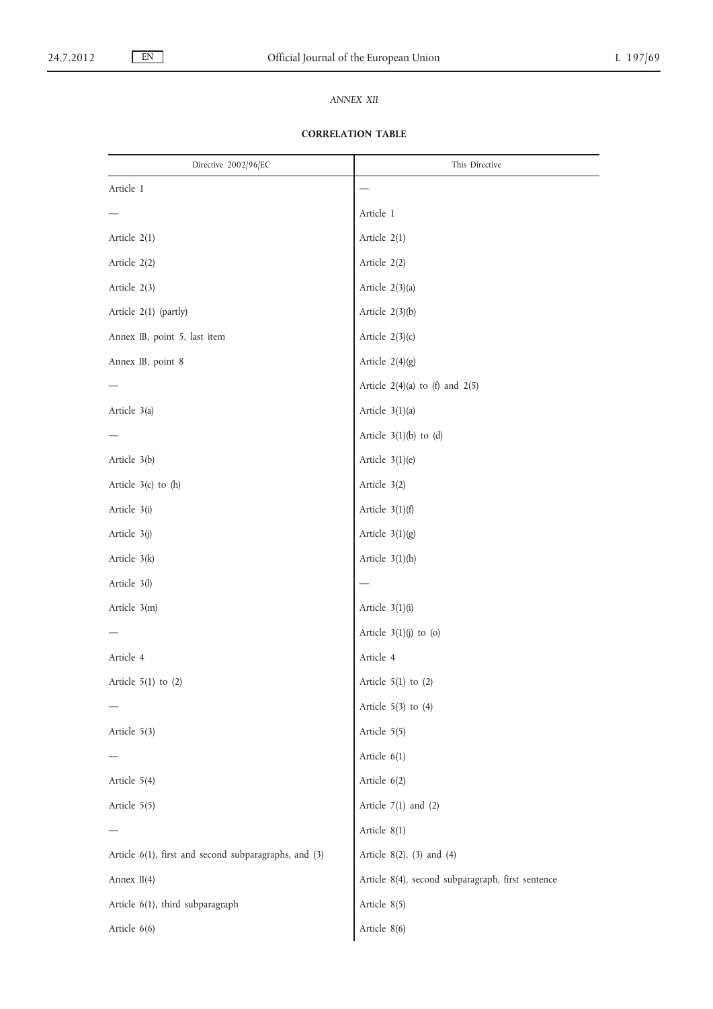# *ANNEX XII*

# **CORRELATION TABLE**

| Directive 2002/96/EC                                  | This Directive                                    |
|-------------------------------------------------------|---------------------------------------------------|
| Article 1                                             |                                                   |
|                                                       | Article 1                                         |
| Article 2(1)                                          | Article 2(1)                                      |
| Article 2(2)                                          | Article 2(2)                                      |
| Article 2(3)                                          | Article 2(3)(a)                                   |
| Article 2(1) (partly)                                 | Article $2(3)(b)$                                 |
| Annex IB, point 5, last item                          | Article $2(3)(c)$                                 |
| Annex IB, point 8                                     | Article $2(4)(g)$                                 |
|                                                       | Article $2(4)(a)$ to (f) and $2(5)$               |
| Article 3(a)                                          | Article $3(1)(a)$                                 |
|                                                       | Article $3(1)(b)$ to $(d)$                        |
| Article 3(b)                                          | Article $3(1)(e)$                                 |
| Article $3(c)$ to $(h)$                               | Article 3(2)                                      |
| Article 3(i)                                          | Article $3(1)(f)$                                 |
| Article 3(j)                                          | Article $3(1)(g)$                                 |
| Article 3(k)                                          | Article $3(1)(h)$                                 |
| Article 3(l)                                          |                                                   |
| Article 3(m)                                          | Article $3(1)(i)$                                 |
|                                                       | Article $3(1)(j)$ to (o)                          |
| Article 4                                             | Article 4                                         |
| Article $5(1)$ to $(2)$                               | Article $5(1)$ to $(2)$                           |
|                                                       | Article $5(3)$ to $(4)$                           |
| Article 5(3)                                          | Article 5(5)                                      |
|                                                       | Article 6(1)                                      |
| Article 5(4)                                          | Article 6(2)                                      |
| Article 5(5)                                          | Article $7(1)$ and $(2)$                          |
|                                                       | Article 8(1)                                      |
| Article 6(1), first and second subparagraphs, and (3) | Article $8(2)$ , $(3)$ and $(4)$                  |
| Annex II(4)                                           | Article 8(4), second subparagraph, first sentence |
| Article 6(1), third subparagraph                      | Article 8(5)                                      |
| Article 6(6)                                          | Article 8(6)                                      |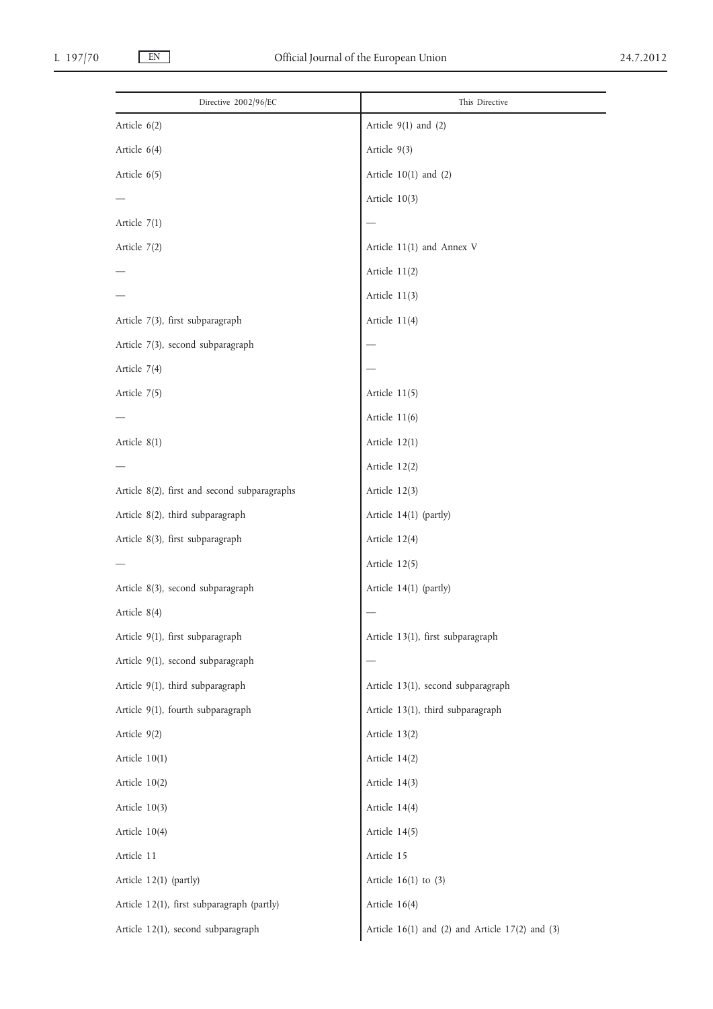| Directive 2002/96/EC                         | This Directive                                          |
|----------------------------------------------|---------------------------------------------------------|
| Article 6(2)                                 | Article $9(1)$ and $(2)$                                |
| Article $6(4)$                               | Article $9(3)$                                          |
| Article $6(5)$                               | Article $10(1)$ and $(2)$                               |
|                                              | Article $10(3)$                                         |
| Article $7(1)$                               |                                                         |
| Article $7(2)$                               | Article $11(1)$ and Annex V                             |
|                                              | Article $11(2)$                                         |
|                                              | Article $11(3)$                                         |
| Article 7(3), first subparagraph             | Article $11(4)$                                         |
| Article 7(3), second subparagraph            |                                                         |
| Article 7(4)                                 |                                                         |
| Article 7(5)                                 | Article $11(5)$                                         |
|                                              | Article $11(6)$                                         |
| Article $8(1)$                               | Article $12(1)$                                         |
|                                              | Article $12(2)$                                         |
| Article 8(2), first and second subparagraphs | Article $12(3)$                                         |
| Article 8(2), third subparagraph             | Article 14(1) (partly)                                  |
| Article 8(3), first subparagraph             | Article 12(4)                                           |
|                                              | Article 12(5)                                           |
| Article 8(3), second subparagraph            | Article 14(1) (partly)                                  |
| Article 8(4)                                 |                                                         |
| Article 9(1), first subparagraph             | Article 13(1), first subparagraph                       |
| Article 9(1), second subparagraph            |                                                         |
| Article 9(1), third subparagraph             | Article 13(1), second subparagraph                      |
| Article 9(1), fourth subparagraph            | Article 13(1), third subparagraph                       |
| Article 9(2)                                 | Article 13(2)                                           |
| Article 10(1)                                | Article 14(2)                                           |
| Article 10(2)                                | Article 14(3)                                           |
| Article 10(3)                                | Article 14(4)                                           |
| Article 10(4)                                | Article 14(5)                                           |
| Article 11                                   | Article 15                                              |
| Article 12(1) (partly)                       | Article $16(1)$ to $(3)$                                |
| Article 12(1), first subparagraph (partly)   | Article 16(4)                                           |
| Article 12(1), second subparagraph           | Article $16(1)$ and $(2)$ and Article $17(2)$ and $(3)$ |